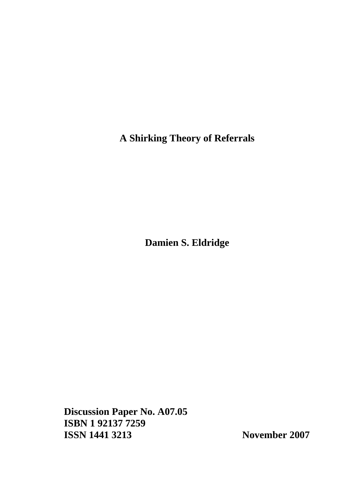**A Shirking Theory of Referrals** 

**Damien S. Eldridge** 

**Discussion Paper No. A07.05 ISBN 1 92137 7259 ISSN 1441 3213 November 2007**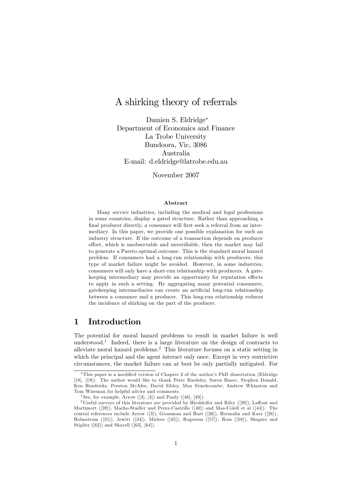# A shirking theory of referrals

Damien S. Eldridge Department of Economics and Finance La Trobe University Bundoora, Vic, 3086 Australia E-mail: d.eldridge@latrobe.edu.au

November 2007

#### Abstract

Many service industries, including the medical and legal professions in some countries, display a gated structure. Rather than approaching a final producer directly, a consumer will first seek a referral from an intermediary. In this paper, we provide one possible explanation for such an industry structure. If the outcome of a transaction depends on producer effort, which is unobservable and unverifiable, then the market may fail to generate a Pareto optimal outcome. This is the standard moral hazard problem. If consumers had a long-run relationship with producers, this type of market failure might be avoided. However, in some industries, consumers will only have a short-run relationship with producers. A gatekeeping intermediary may provide an opportunity for reputation effects to apply in such a setting. By aggregating many potential consumers, gatekeeping intermediaries can create an artificial long-run relationship between a consumer and a producer. This long-run relationship reduces the incidence of shirking on the part of the producer.

## 1 Introduction

The potential for moral hazard problems to result in market failure is well understood.<sup>1</sup> Indeed, there is a large literature on the design of contracts to alleviate moral hazard problems.<sup>2</sup> This literature focuses on a static setting in which the principal and the agent interact only once. Except in very restrictive circumstances, the market failure can at best be only partially mitigated. For

<sup>\*</sup>This paper is a modified version of Chapter 2 of the author's PhD dissertation (Eldridge [18], [19]). The author would like to thank Peter Bardsley, Suren Basov, Stephen Donald, Ken Hendricks, Preston McAfee, David Sibley, Max Stinchcombe, Andrew Whinston and Tom Wiseman for helpful advice and comments.

<sup>&</sup>lt;sup>1</sup> See, for example, Arrow  $([3], [4])$  and Pauly  $([48], [49])$ .

<sup>&</sup>lt;sup>2</sup>Useful surveys of this literature are provided by Hirshleifer and Riley  $(29)$ ), Laffont and Martimort ([39]), Macho-Stadler and Perez-Castrillo ([40]) and Mas-Colell et al ([44]). The central references include Arrow ([3]), Grossman and Hart ([26]), Hermalin and Katz ([28]), Holmstrom ([31]), Jewitt ([34]), Mirlees ([45]), Rogerson ([57]), Ross ([58]), Shapiro and Stiglitz ([62]) and Shavell ([63], [64]).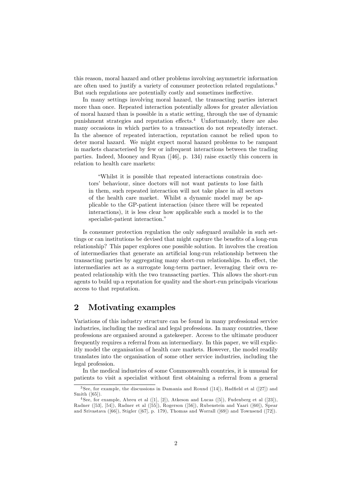this reason, moral hazard and other problems involving asymmetric information are often used to justify a variety of consumer protection related regulations.<sup>3</sup> But such regulations are potentially costly and sometimes ineffective.

In many settings involving moral hazard, the transacting parties interact more than once. Repeated interaction potentially allows for greater alleviation of moral hazard than is possible in a static setting, through the use of dynamic punishment strategies and reputation effects.<sup>4</sup> Unfortunately, there are also many occasions in which parties to a transaction do not repeatedly interact. In the absence of repeated interaction, reputation cannot be relied upon to deter moral hazard. We might expect moral hazard problems to be rampant in markets characterised by few or infrequent interactions between the trading parties. Indeed, Mooney and Ryan ([46], p. 134) raise exactly this concern in relation to health care markets:

ìWhilst it is possible that repeated interactions constrain doctors' behaviour, since doctors will not want patients to lose faith in them, such repeated interaction will not take place in all sectors of the health care market. Whilst a dynamic model may be applicable to the GP-patient interaction (since there will be repeated interactions), it is less clear how applicable such a model is to the specialist-patient interaction."

Is consumer protection regulation the only safeguard available in such settings or can institutions be devised that might capture the benefits of a long-run relationship? This paper explores one possible solution. It involves the creation of intermediaries that generate an artificial long-run relationship between the transacting parties by aggregating many short-run relationships. In effect, the intermediaries act as a surrogate long-term partner, leveraging their own repeated relationship with the two transacting parties. This allows the short-run agents to build up a reputation for quality and the short-run principals vicarious access to that reputation.

## 2 Motivating examples

Variations of this industry structure can be found in many professional service industries, including the medical and legal professions. In many countries, these professions are organised around a gatekeeper. Access to the ultimate producer frequently requires a referral from an intermediary. In this paper, we will explicitly model the organisation of health care markets. However, the model readily translates into the organisation of some other service industries, including the legal profession.

In the medical industries of some Commonwealth countries, it is unusual for patients to visit a specialist without first obtaining a referral from a general

 $3$ See, for example, the discussions in Damania and Round ([14]), Hadfield et al ([27]) and Smith ([65]).

 $4$ See, for example, Abreu et al  $([1], [2])$ , Atkeson and Lucas  $([5])$ , Fudenberg et al  $([23])$ , Radner ([53], [54]), Radner et al ([55]), Rogerson ([56]), Rubenstein and Yaari ([60]), Spear and Srivastava ([66]), Stigler ([67], p. 179), Thomas and Worrall ([69]) and Townsend ([72]).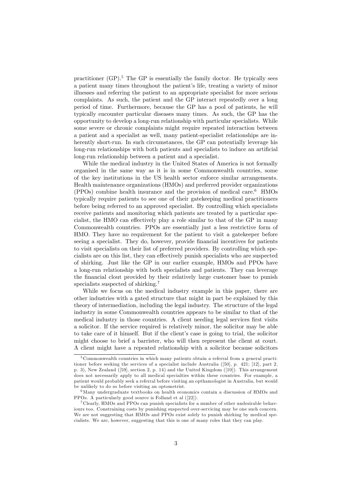practitioner  $(GP)$ <sup>5</sup>. The  $GP$  is essentially the family doctor. He typically sees a patient many times throughout the patient's life, treating a variety of minor illnesses and referring the patient to an appropriate specialist for more serious complaints. As such, the patient and the GP interact repeatedly over a long period of time. Furthermore, because the GP has a pool of patients, he will typically encounter particular diseases many times. As such, the GP has the opportunity to develop a long-run relationship with particular specialists. While some severe or chronic complaints might require repeated interaction between a patient and a specialist as well, many patient-specialist relationships are inherently short-run. In such circumstances, the GP can potentially leverage his long-run relationships with both patients and specialists to induce an artificial long-run relationship between a patient and a specialist.

While the medical industry in the United States of America is not formally organised in the same way as it is in some Commonwealth countries, some of the key institutions in the US health sector enforce similar arrangements. Health maintenance organizations (HMOs) and preferred provider organizations (PPOs) combine health insurance and the provision of medical care.<sup>6</sup> HMOs typically require patients to see one of their gatekeeping medical practitioners before being referred to an approved specialist. By controlling which specialists receive patients and monitoring which patients are treated by a particular specialist, the HMO can effectively play a role similar to that of the GP in many Commonwealth countries. PPOs are essentially just a less restrictive form of HMO. They have no requirement for the patient to visit a gatekeeper before seeing a specialist. They do, however, provide financial incentives for patients to visit specialists on their list of preferred providers. By controlling which specialists are on this list, they can effectively punish specialists who are suspected of shirking. Just like the GP in our earlier example, HMOs and PPOs have a long-run relationship with both specialists and patients. They can leverage the Önancial clout provided by their relatively large customer base to punish specialists suspected of shirking.<sup>7</sup>

While we focus on the medical industry example in this paper, there are other industries with a gated structure that might in part be explained by this theory of intermediation, including the legal industry. The structure of the legal industry in some Commonwealth countries appears to be similar to that of the medical industry in those countries. A client needing legal services first visits a solicitor. If the service required is relatively minor, the solicitor may be able to take care of it himself. But if the client's case is going to trial, the solicitor might choose to brief a barrister, who will then represent the client at court. A client might have a repeated relationship with a solicitor because solicitors

<sup>&</sup>lt;sup>5</sup> Commonwealth countries in which many patients obtain a referral from a general practitioner before seeking the services of a specialist include Australia ([50], p. 421; [12], part 2, p. 3), New Zealand ([59], section 2, p. 14) and the United Kingdom ([10]). This arrangement does not necessarily apply to all medical specialties within these countries. For example, a patient would probably seek a referral before visiting an opthamologist in Australia, but would be unlikely to do so before visiting an optometrist.

<sup>6</sup>Many undergraduate textbooks on health economics contain a discussion of HMOs and PPOs. A particularly good source is Folland et al ([22]).

<sup>7</sup> Clearly, HMOs and PPOs can punish specialists for a number of other undesirable behaviours too. Constraining costs by punishing suspected over-servicing may be one such concern. We are not suggesting that HMOs and PPOs exist solely to punish shirking by medical specialists. We are, however, suggesting that this is one of many roles that they can play.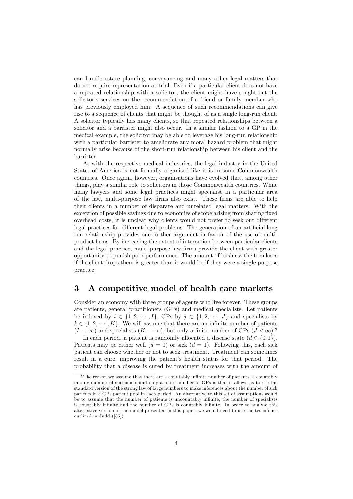can handle estate planning, conveyancing and many other legal matters that do not require representation at trial. Even if a particular client does not have a repeated relationship with a solicitor, the client might have sought out the solicitor's services on the recommendation of a friend or family member who has previously employed him. A sequence of such recommendations can give rise to a sequence of clients that might be thought of as a single long-run client. A solicitor typically has many clients, so that repeated relationships between a solicitor and a barrister might also occur. In a similar fashion to a GP in the medical example, the solicitor may be able to leverage his long-run relationship with a particular barrister to ameliorate any moral hazard problem that might normally arise because of the short-run relationship between his client and the barrister.

As with the respective medical industries, the legal industry in the United States of America is not formally organised like it is in some Commonwealth countries. Once again, however, organisations have evolved that, among other things, play a similar role to solicitors in those Commonwealth countries. While many lawyers and some legal practices might specialise in a particular area of the law, multi-purpose law firms also exist. These firms are able to help their clients in a number of disparate and unrelated legal matters. With the exception of possible savings due to economies of scope arising from sharing fixed overhead costs, it is unclear why clients would not prefer to seek out different legal practices for different legal problems. The generation of an artificial long run relationship provides one further argument in favour of the use of multiproduct Örms. By increasing the extent of interaction between particular clients and the legal practice, multi-purpose law firms provide the client with greater opportunity to punish poor performance. The amount of business the Örm loses if the client drops them is greater than it would be if they were a single purpose practice.

## 3 A competitive model of health care markets

Consider an economy with three groups of agents who live forever. These groups are patients, general practitioners (GPs) and medical specialists. Let patients be indexed by  $i \in \{1, 2, \dots, I\}$ , GPs by  $j \in \{1, 2, \dots, J\}$  and specialists by  $k \in \{1, 2, \dots, K\}$ . We will assume that there are an infinite number of patients  $(I \to \infty)$  and specialists  $(K \to \infty)$ , but only a finite number of GPs  $(J < \infty)$ .<sup>8</sup>

In each period, a patient is randomly allocated a disease state  $(d \in \{0, 1\})$ . Patients may be either well  $(d = 0)$  or sick  $(d = 1)$ . Following this, each sick patient can choose whether or not to seek treatment. Treatment can sometimes result in a cure, improving the patient's health status for that period. The probability that a disease is cured by treatment increases with the amount of

<sup>&</sup>lt;sup>8</sup>The reason we assume that there are a countably infinite number of patients, a countably infinite number of specialists and only a finite number of GPs is that it allows us to use the standard version of the strong law of large numbers to make inferences about the number of sick patients in a GPs patient pool in each period. An alternative to this set of assumptions would be to assume that the number of patients is uncountably infinite, the number of specialists is countably infinite and the number of GPs is countably infinite. In order to analyse this alternative version of the model presented in this paper, we would need to use the techniques outlined in Judd ([35]).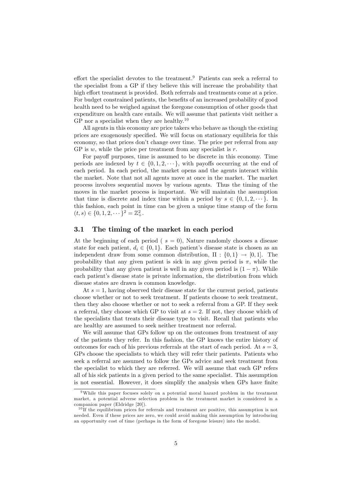effort the specialist devotes to the treatment.<sup>9</sup> Patients can seek a referral to the specialist from a GP if they believe this will increase the probability that high effort treatment is provided. Both referrals and treatments come at a price. For budget constrained patients, the benefits of an increased probability of good health need to be weighed against the foregone consumption of other goods that expenditure on health care entails. We will assume that patients visit neither a GP nor a specialist when they are healthy.<sup>10</sup>

All agents in this economy are price takers who behave as though the existing prices are exogenously specified. We will focus on stationary equilibria for this economy, so that prices don't change over time. The price per referral from any GP is  $w$ , while the price per treatment from any specialist is  $r$ .

For payoff purposes, time is assumed to be discrete in this economy. Time periods are indexed by  $t \in \{0, 1, 2, \dots\}$ , with payoffs occurring at the end of each period. In each period, the market opens and the agents interact within the market. Note that not all agents move at once in the market. The market process involves sequential moves by various agents. Thus the timing of the moves in the market process is important. We will maintain the assumption that time is discrete and index time within a period by  $s \in \{0, 1, 2, \dots\}$ . In this fashion, each point in time can be given a unique time stamp of the form  $(t, s) \in \{0, 1, 2, \dots\}^2 = \mathbb{Z}_+^2.$ 

### 3.1 The timing of the market in each period

At the beginning of each period ( $s = 0$ ), Nature randomly chooses a disease state for each patient,  $d_i \in \{0, 1\}$ . Each patient's disease state is chosen as an independent draw from some common distribution,  $\Pi : \{0,1\} \rightarrow [0,1]$ . The probability that any given patient is sick in any given period is  $\pi$ , while the probability that any given patient is well in any given period is  $(1 - \pi)$ . While each patient's disease state is private information, the distribution from which disease states are drawn is common knowledge.

At  $s = 1$ , having observed their disease state for the current period, patients choose whether or not to seek treatment. If patients choose to seek treatment, then they also choose whether or not to seek a referral from a GP. If they seek a referral, they choose which GP to visit at  $s = 2$ . If not, they choose which of the specialists that treats their disease type to visit. Recall that patients who are healthy are assumed to seek neither treatment nor referral.

We will assume that GPs follow up on the outcomes from treatment of any of the patients they refer. In this fashion, the GP knows the entire history of outcomes for each of his previous referrals at the start of each period. At  $s = 3$ , GPs choose the specialists to which they will refer their patients. Patients who seek a referral are assumed to follow the GPs advice and seek treatment from the specialist to which they are referred. We will assume that each GP refers all of his sick patients in a given period to the same specialist. This assumption is not essential. However, it does simplify the analysis when GPs have finite

<sup>9</sup>While this paper focuses solely on a potential moral hazard problem in the treatment market, a potential adverse selection problem in the treatment market is considered in a companion paper (Eldridge [20]).

 $10$  If the equilibrium prices for referrals and treatment are positive, this assumption is not needed. Even if these prices are zero, we could avoid making this assumption by introducing an opportunity cost of time (perhaps in the form of foregone leisure) into the model.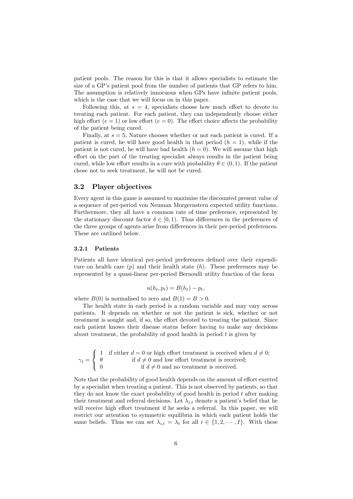patient pools. The reason for this is that it allows specialists to estimate the size of a GP's patient pool from the number of patients that GP refers to him. The assumption is relatively innocuous when GPs have infinite patient pools, which is the case that we will focus on in this paper.

Following this, at  $s = 4$ , specialists choose how much effort to devote to treating each patient. For each patient, they can independently choose either high effort ( $e = 1$ ) or low effort ( $e = 0$ ). The effort choice affects the probability of the patient being cured.

Finally, at  $s = 5$ , Nature chooses whether or not each patient is cured. If a patient is cured, he will have good health in that period  $(h = 1)$ , while if the patient is not cured, he will have bad health  $(h = 0)$ . We will assume that high effort on the part of the treating specialist always results in the patient being cured, while low effort results in a cure with probability  $\theta \in (0, 1)$ . If the patient chose not to seek treatment, he will not be cured.

### 3.2 Player objectives

Every agent in this game is assumed to maximise the discounted present value of a sequence of per-period von Neuman Morgernstern expected utility functions. Furthermore, they all have a common rate of time preference, represented by the stationary discount factor  $\delta \in [0, 1)$ . Thus differences in the preferences of the three groups of agents arise from differences in their per-period preferences. These are outlined below.

#### 3.2.1 Patients

Patients all have identical per-period preferences defined over their expenditure on health care  $(p)$  and their health state  $(h)$ . These preferences may be represented by a quasi-linear per-period Bernoulli utility function of the form

$$
u(h_t, p_t) = B(h_t) - p_t,
$$

where  $B(0)$  is normalised to zero and  $B(1) = B > 0$ .

The health state in each period is a random variable and may vary across patients. It depends on whether or not the patient is sick, whether or not treatment is sought and, if so, the effort devoted to treating the patient. Since each patient knows their disease status before having to make any decisions about treatment, the probability of good health in period  $t$  is given by

$$
\gamma_t = \left\{ \begin{array}{ll} 1 & \text{if either } d = 0 \text{ or high effort treatment is received when } d \neq 0; \\ \theta & \text{if } d \neq 0 \text{ and low effort treatment is received;} \\ 0 & \text{if } d \neq 0 \text{ and no treatment is received.} \end{array} \right.
$$

Note that the probability of good health depends on the amount of effort exerted by a specialist when treating a patient. This is not observed by patients, so that they do not know the exact probability of good health in period  $t$  after making their treatment and referral decisions. Let  $\lambda_{i,t}$  denote a patient's belief that he will receive high effort treatment if he seeks a referral. In this paper, we will restrict our attention to symmetric equilibria in which each patient holds the same beliefs. Thus we can set  $\lambda_{i,t} = \lambda_t$  for all  $i \in \{1, 2, \dots, I\}$ . With these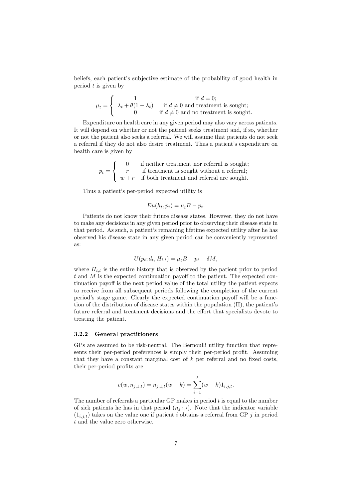beliefs, each patient's subjective estimate of the probability of good health in period  $t$  is given by

$$
\mu_t = \left\{ \begin{array}{cl} 1 & \text{if } d = 0; \\ \lambda_t + \theta(1-\lambda_t) & \text{if } d \neq 0 \text{ and treatment is sought}; \\ 0 & \text{if } d \neq 0 \text{ and no treatment is sought}. \end{array} \right.
$$

Expenditure on health care in any given period may also vary across patients. It will depend on whether or not the patient seeks treatment and, if so, whether or not the patient also seeks a referral. We will assume that patients do not seek a referral if they do not also desire treatment. Thus a patient's expenditure on health care is given by

$$
p_t = \begin{cases} 0 & \text{if neither treatment nor referral is sought;} \\ r & \text{if treatment is sought without a referral;} \\ w + r & \text{if both treatment and referral are sought.} \end{cases}
$$

Thus a patient's per-period expected utility is

$$
Eu(h_t, p_t) = \mu_t B - p_t.
$$

Patients do not know their future disease states. However, they do not have to make any decisions in any given period prior to observing their disease state in that period. As such, a patient's remaining lifetime expected utility after he has observed his disease state in any given period can be conveniently represented as:

$$
U(p_t; d_t, H_{i,t}) = \mu_t B - p_t + \delta M,
$$

where  $H_{i,t}$  is the entire history that is observed by the patient prior to period  $t$  and  $M$  is the expected continuation payoff to the patient. The expected continuation payoff is the next period value of the total utility the patient expects to receive from all subsequent periods following the completion of the current period's stage game. Clearly the expected continuation payoff will be a function of the distribution of disease states within the population  $(\Pi)$ , the patient's future referral and treatment decisions and the effort that specialists devote to treating the patient.

#### 3.2.2 General practitioners

GPs are assumed to be risk-neutral. The Bernoulli utility function that represents their per-period preferences is simply their per-period profit. Assuming that they have a constant marginal cost of  $k$  per referral and no fixed costs, their per-period profits are

$$
v(w, n_{j,1,t}) = n_{j,1,t}(w-k) = \sum_{i=1}^{I} (w-k) 1_{i,j,t}.
$$

The number of referrals a particular GP makes in period  $t$  is equal to the number of sick patients he has in that period  $(n_{i,1,t})$ . Note that the indicator variable  $(1_{i,j,t})$  takes on the value one if patient i obtains a referral from GP j in period t and the value zero otherwise.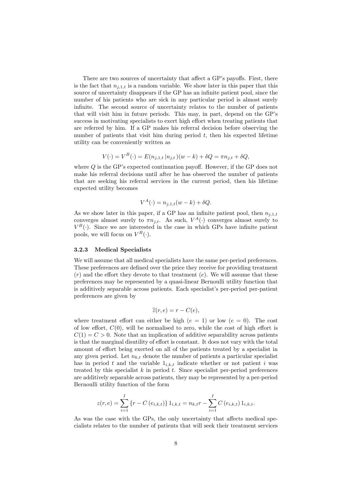There are two sources of uncertainty that affect a GP's payoffs. First, there is the fact that  $n_{i,1,t}$  is a random variable. We show later in this paper that this source of uncertainty disappears if the GP has an infinite patient pool, since the number of his patients who are sick in any particular period is almost surely infinite. The second source of uncertainty relates to the number of patients that will visit him in future periods. This may, in part, depend on the GP's success in motivating specialists to exert high effort when treating patients that are referred by him. If a GP makes his referral decision before observing the number of patients that visit him during period  $t$ , then his expected lifetime utility can be conveniently written as

$$
V(\cdot) = V^{B}(\cdot) = E(n_{j,1,t} | n_{j,t})(w - k) + \delta Q = \pi n_{j,t} + \delta Q,
$$

where  $Q$  is the GP's expected continuation payoff. However, if the GP does not make his referral decisions until after he has observed the number of patients that are seeking his referral services in the current period, then his lifetime expected utility becomes

$$
V^A(\cdot) = n_{j,1,t}(w-k) + \delta Q.
$$

As we show later in this paper, if a GP has an infinite patient pool, then  $n_{i,1,t}$ converges almost surely to  $\pi n_{j,t}$ . As such,  $V^A(\cdot)$  converges almost surely to  $V^B(\cdot)$ . Since we are interested in the case in which GPs have infinite patient pools, we will focus on  $V^B(\cdot)$ .

#### 3.2.3 Medical Specialists

We will assume that all medical specialists have the same per-period preferences. These preferences are defined over the price they receive for providing treatment  $(r)$  and the effort they devote to that treatment  $(e)$ . We will assume that these preferences may be represented by a quasi-linear Bernoulli utility function that is additively separable across patients. Each specialistís per-period per-patient preferences are given by

$$
\widehat{z}(r,e) = r - C(e),
$$

where treatment effort can either be high  $(e = 1)$  or low  $(e = 0)$ . The cost of low effort,  $C(0)$ , will be normalised to zero, while the cost of high effort is  $C(1) = C > 0$ . Note that an implication of additive separability across patients is that the marginal disutility of effort is constant. It does not vary with the total amount of effort being exerted on all of the patients treated by a specialist in any given period. Let  $n_{k,t}$  denote the number of patients a particular specialist has in period t and the variable  $1_{i,k,t}$  indicate whether or not patient i was treated by this specialist  $k$  in period  $t$ . Since specialist per-period preferences are additively separable across patients, they may be represented by a per-period Bernoulli utility function of the form

$$
z(r, e) = \sum_{i=1}^{I} \{r - C(e_{i,k,t})\} 1_{i,k,t} = n_{k,t}r - \sum_{i=1}^{I} C(e_{i,k,t}) 1_{i,k,t}.
$$

As was the case with the GPs, the only uncertainty that affects medical specialists relates to the number of patients that will seek their treatment services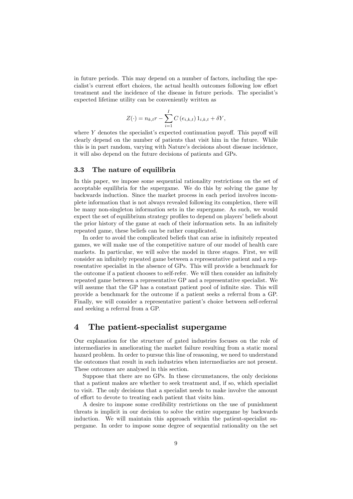in future periods. This may depend on a number of factors, including the specialist's current effort choices, the actual health outcomes following low effort treatment and the incidence of the disease in future periods. The specialist's expected lifetime utility can be conveniently written as

$$
Z(\cdot) = n_{k,t}r - \sum_{i=1}^{I} C(e_{i,k,t}) 1_{i,k,t} + \delta Y,
$$

where  $Y$  denotes the specialist's expected continuation payoff. This payoff will clearly depend on the number of patients that visit him in the future. While this is in part random, varying with Nature's decisions about disease incidence, it will also depend on the future decisions of patients and GPs.

### 3.3 The nature of equilibria

In this paper, we impose some sequential rationality restrictions on the set of acceptable equilibria for the supergame. We do this by solving the game by backwards induction. Since the market process in each period involves incomplete information that is not always revealed following its completion, there will be many non-singleton information sets in the supergame. As such, we would expect the set of equilibrium strategy profiles to depend on players' beliefs about the prior history of the game at each of their information sets. In an infinitely repeated game, these beliefs can be rather complicated.

In order to avoid the complicated beliefs that can arise in infinitely repeated games, we will make use of the competitive nature of our model of health care markets. In particular, we will solve the model in three stages. First, we will consider an infinitely repeated game between a representative patient and a representative specialist in the absence of GPs. This will provide a benchmark for the outcome if a patient chooses to self-refer. We will then consider an infinitely repeated game between a representative GP and a representative specialist. We will assume that the GP has a constant patient pool of infinite size. This will provide a benchmark for the outcome if a patient seeks a referral from a GP. Finally, we will consider a representative patient's choice between self-referral and seeking a referral from a GP.

## 4 The patient-specialist supergame

Our explanation for the structure of gated industries focuses on the role of intermediaries in ameliorating the market failure resulting from a static moral hazard problem. In order to pursue this line of reasoning, we need to understand the outcomes that result in such industries when intermediaries are not present. These outcomes are analysed in this section.

Suppose that there are no GPs. In these circumstances, the only decisions that a patient makes are whether to seek treatment and, if so, which specialist to visit. The only decisions that a specialist needs to make involve the amount of effort to devote to treating each patient that visits him.

A desire to impose some credibility restrictions on the use of punishment threats is implicit in our decision to solve the entire supergame by backwards induction. We will maintain this approach within the patient-specialist supergame. In order to impose some degree of sequential rationality on the set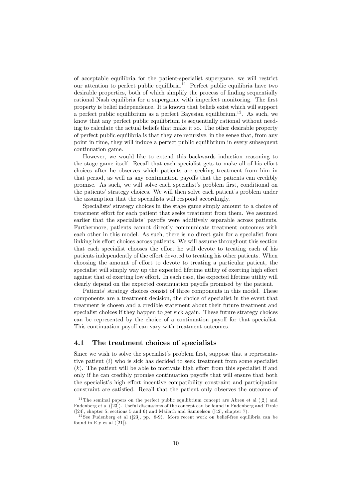of acceptable equilibria for the patient-specialist supergame, we will restrict our attention to perfect public equilibria.<sup>11</sup> Perfect public equilibria have two desirable properties, both of which simplify the process of finding sequentially rational Nash equilibria for a supergame with imperfect monitoring. The first property is belief independence. It is known that beliefs exist which will support a perfect public equilibrium as a perfect Bayesian equilibrium.<sup>12</sup>. As such, we know that any perfect public equilibrium is sequentially rational without needing to calculate the actual beliefs that make it so. The other desirable property of perfect public equilibria is that they are recursive, in the sense that, from any point in time, they will induce a perfect public equilibrium in every subsequent continuation game.

However, we would like to extend this backwards induction reasoning to the stage game itself. Recall that each specialist gets to make all of his effort choices after he observes which patients are seeking treatment from him in that period, as well as any continuation payoffs that the patients can credibly promise. As such, we will solve each specialist's problem first, conditional on the patients' strategy choices. We will then solve each patient's problem under the assumption that the specialists will respond accordingly.

Specialists' strategy choices in the stage game simply amount to a choice of treatment effort for each patient that seeks treatment from them. We assumed earlier that the specialists' payoffs were additively separable across patients. Furthermore, patients cannot directly communicate treatment outcomes with each other in this model. As such, there is no direct gain for a specialist from linking his effort choices across patients. We will assume throughout this section that each specialist chooses the effort he will devote to treating each of his patients independently of the effort devoted to treating his other patients. When choosing the amount of effort to devote to treating a particular patient, the specialist will simply way up the expected lifetime utility of exerting high effort against that of exerting low effort. In each case, the expected lifetime utility will clearly depend on the expected continuation payoffs promised by the patient.

Patients' strategy choices consist of three components in this model. These components are a treatment decision, the choice of specialist in the event that treatment is chosen and a credible statement about their future treatment and specialist choices if they happen to get sick again. These future strategy choices can be represented by the choice of a continuation payoff for that specialist. This continuation payoff can vary with treatment outcomes.

### 4.1 The treatment choices of specialists

Since we wish to solve the specialist's problem first, suppose that a representative patient  $(i)$  who is sick has decided to seek treatment from some specialist  $(k)$ . The patient will be able to motivate high effort from this specialist if and only if he can credibly promise continuation payoffs that will ensure that both the specialist's high effort incentive compatibility constraint and participation constraint are satisfied. Recall that the patient only observes the outcome of

 $11$ The seminal papers on the perfect public equilibrium concept are Abreu et al  $(2)$  and Fudenberg et al ([23]). Useful discussions of the concept can be found in Fudenberg and Tirole ([24], chapter 5, sections 5 and 6) and Mailath and Samuelson ([42], chapter 7).

 $12$  See Fudenberg et al ([23], pp. 8-9). More recent work on belief-free equilibria can be found in Ely et al  $([21])$ .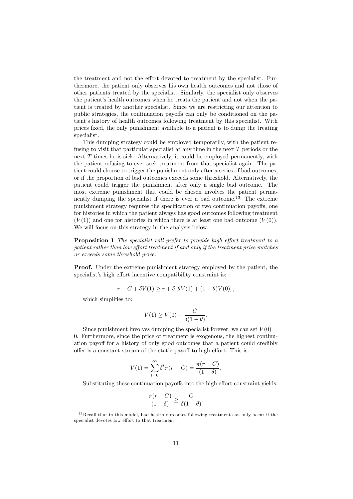the treatment and not the effort devoted to treatment by the specialist. Furthermore, the patient only observes his own health outcomes and not those of other patients treated by the specialist. Similarly, the specialist only observes the patient's health outcomes when he treats the patient and not when the patient is treated by another specialist. Since we are restricting our attention to public strategies, the continuation payoffs can only be conditioned on the patient's history of health outcomes following treatment by this specialist. With prices Öxed, the only punishment available to a patient is to dump the treating specialist.

This dumping strategy could be employed temporarily, with the patient refusing to visit that particular specialist at any time in the next T periods or the next T times he is sick. Alternatively, it could be employed permanently, with the patient refusing to ever seek treatment from that specialist again. The patient could choose to trigger the punishment only after a series of bad outcomes, or if the proportion of bad outcomes exceeds some threshold. Alternatively, the patient could trigger the punishment after only a single bad outcome. The most extreme punishment that could be chosen involves the patient permanently dumping the specialist if there is ever a bad outcome.<sup>13</sup> The extreme punishment strategy requires the specification of two continuation payoffs, one for histories in which the patient always has good outcomes following treatment  $(V(1))$  and one for histories in which there is at least one bad outcome  $(V(0))$ . We will focus on this strategy in the analysis below.

**Proposition 1** The specialist will prefer to provide high effort treatment to a patient rather than low effort treatment if and only if the treatment price matches or exceeds some threshold price.

Proof. Under the extreme punishment strategy employed by the patient, the specialist's high effort incentive compatibility constraint is:

$$
r - C + \delta V(1) \ge r + \delta \left[\theta V(1) + (1 - \theta)V(0)\right],
$$

which simplifies to:

$$
V(1) \ge V(0) + \frac{C}{\delta(1-\theta)}.
$$

Since punishment involves dumping the specialist forever, we can set  $V(0) =$ 0. Furthermore, since the price of treatment is exogenous, the highest continuation payoff for a history of only good outcomes that a patient could credibly offer is a constant stream of the static payoff to high effort. This is:

$$
V(1) = \sum_{t=0}^{\infty} \delta^t \pi(r - C) = \frac{\pi(r - C)}{(1 - \delta)}.
$$

Substituting these continuation payoffs into the high effort constraint yields:

$$
\frac{\pi(r-C)}{(1-\delta)} \ge \frac{C}{\delta(1-\theta)}.
$$

<sup>&</sup>lt;sup>13</sup>Recall that in this model, bad health outcomes following treatment can only occur if the specialist devotes low effort to that treatment.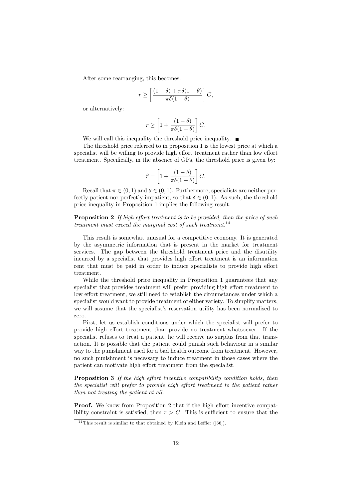After some rearranging, this becomes:

$$
r \ge \left[\frac{(1-\delta) + \pi \delta (1-\theta)}{\pi \delta (1-\theta)}\right]C,
$$

or alternatively:

$$
r \ge \left[1 + \frac{(1-\delta)}{\pi \delta(1-\theta)}\right]C.
$$

We will call this inequality the threshold price inequality.  $\blacksquare$ 

The threshold price referred to in proposition 1 is the lowest price at which a specialist will be willing to provide high effort treatment rather than low effort treatment. Specifically, in the absence of GPs, the threshold price is given by:

$$
\widehat{r} = \left[1 + \frac{(1 - \delta)}{\pi \delta (1 - \theta)}\right]C.
$$

Recall that  $\pi \in (0, 1)$  and  $\theta \in (0, 1)$ . Furthermore, specialists are neither perfectly patient nor perfectly impatient, so that  $\delta \in (0, 1)$ . As such, the threshold price inequality in Proposition 1 implies the following result.

**Proposition 2** If high effort treatment is to be provided, then the price of such treatment must exceed the marginal cost of such treatment.<sup>14</sup>

This result is somewhat unusual for a competitive economy. It is generated by the asymmetric information that is present in the market for treatment services. The gap between the threshold treatment price and the disutility incurred by a specialist that provides high effort treatment is an information rent that must be paid in order to induce specialists to provide high effort treatment.

While the threshold price inequality in Proposition 1 guarantees that any specialist that provides treatment will prefer providing high effort treatment to low effort treatment, we still need to establish the circumstances under which a specialist would want to provide treatment of either variety. To simplify matters, we will assume that the specialist's reservation utility has been normalised to zero.

First, let us establish conditions under which the specialist will prefer to provide high effort treatment than provide no treatment whatsoever. If the specialist refuses to treat a patient, he will receive no surplus from that transaction. It is possible that the patient could punish such behaviour in a similar way to the punishment used for a bad health outcome from treatment. However, no such punishment is necessary to induce treatment in those cases where the patient can motivate high effort treatment from the specialist.

**Proposition 3** If the high effort incentive compatibility condition holds, then the specialist will prefer to provide high effort treatment to the patient rather than not treating the patient at all.

**Proof.** We know from Proposition 2 that if the high effort incentive compatibility constraint is satisfied, then  $r > C$ . This is sufficient to ensure that the

<sup>&</sup>lt;sup>14</sup> This result is similar to that obtained by Klein and Leffler  $([36])$ .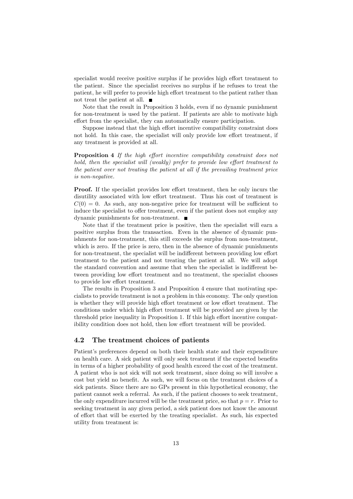specialist would receive positive surplus if he provides high effort treatment to the patient. Since the specialist receives no surplus if he refuses to treat the patient, he will prefer to provide high effort treatment to the patient rather than not treat the patient at all.

Note that the result in Proposition 3 holds, even if no dynamic punishment for non-treatment is used by the patient. If patients are able to motivate high effort from the specialist, they can automatically ensure participation.

Suppose instead that the high effort incentive compatibility constraint does not hold. In this case, the specialist will only provide low effort treatment, if any treatment is provided at all.

**Proposition 4** If the high effort incentive compatibility constraint does not hold, then the specialist will (weakly) prefer to provide low effort treatment to the patient over not treating the patient at all if the prevailing treatment price is non-negative.

**Proof.** If the specialist provides low effort treatment, then he only incurs the disutility associated with low effort treatment. Thus his cost of treatment is  $C(0) = 0$ . As such, any non-negative price for treatment will be sufficient to induce the specialist to offer treatment, even if the patient does not employ any dynamic punishments for non-treatment.

Note that if the treatment price is positive, then the specialist will earn a positive surplus from the transaction. Even in the absence of dynamic punishments for non-treatment, this still exceeds the surplus from non-treatment, which is zero. If the price is zero, then in the absence of dynamic punishments for non-treatment, the specialist will be indifferent between providing low effort treatment to the patient and not treating the patient at all. We will adopt the standard convention and assume that when the specialist is indifferent between providing low effort treatment and no treatment, the specialist chooses to provide low effort treatment.

The results in Proposition 3 and Proposition 4 ensure that motivating specialists to provide treatment is not a problem in this economy. The only question is whether they will provide high effort treatment or low effort treatment. The conditions under which high effort treatment will be provided are given by the threshold price inequality in Proposition 1. If this high effort incentive compatibility condition does not hold, then low effort treatment will be provided.

### 4.2 The treatment choices of patients

Patient's preferences depend on both their health state and their expenditure on health care. A sick patient will only seek treatment if the expected benefits in terms of a higher probability of good health exceed the cost of the treatment. A patient who is not sick will not seek treatment, since doing so will involve a cost but yield no benefit. As such, we will focus on the treatment choices of a sick patients. Since there are no GPs present in this hypothetical economy, the patient cannot seek a referral. As such, if the patient chooses to seek treatment, the only expenditure incurred will be the treatment price, so that  $p = r$ . Prior to seeking treatment in any given period, a sick patient does not know the amount of effort that will be exerted by the treating specialist. As such, his expected utility from treatment is: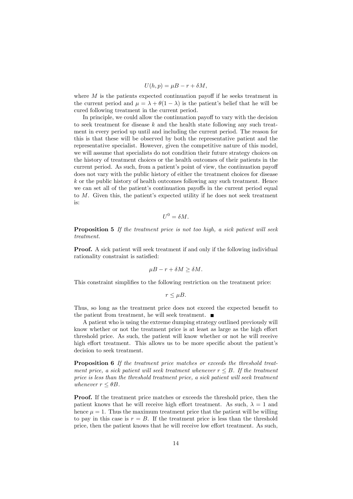$$
U(h, p) = \mu B - r + \delta M,
$$

where  $M$  is the patients expected continuation payoff if he seeks treatment in the current period and  $\mu = \lambda + \theta(1 - \lambda)$  is the patient's belief that he will be cured following treatment in the current period.

In principle, we could allow the continuation payoff to vary with the decision to seek treatment for disease  $k$  and the health state following any such treatment in every period up until and including the current period. The reason for this is that these will be observed by both the representative patient and the representative specialist. However, given the competitive nature of this model, we will assume that specialists do not condition their future strategy choices on the history of treatment choices or the health outcomes of their patients in the current period. As such, from a patient's point of view, the continuation payoff does not vary with the public history of either the treatment choices for disease  $k$  or the public history of health outcomes following any such treatment. Hence we can set all of the patient's continuation payoffs in the current period equal to  $M$ . Given this, the patient's expected utility if he does not seek treatment is:

$$
U^0 = \delta M.
$$

Proposition 5 If the treatment price is not too high, a sick patient will seek treatment.

Proof. A sick patient will seek treatment if and only if the following individual rationality constraint is satisfied:

$$
\mu B - r + \delta M \ge \delta M.
$$

This constraint simplifies to the following restriction on the treatment price:

$$
r \leq \mu B.
$$

Thus, so long as the treatment price does not exceed the expected benefit to the patient from treatment, he will seek treatment.  $\blacksquare$ 

A patient who is using the extreme dumping strategy outlined previously will know whether or not the treatment price is at least as large as the high effort threshold price. As such, the patient will know whether or not he will receive high effort treatment. This allows us to be more specific about the patient's decision to seek treatment.

Proposition 6 If the treatment price matches or exceeds the threshold treatment price, a sick patient will seek treatment whenever  $r \leq B$ . If the treatment price is less than the threshold treatment price, a sick patient will seek treatment whenever  $r \leq \theta B$ .

Proof. If the treatment price matches or exceeds the threshold price, then the patient knows that he will receive high effort treatment. As such,  $\lambda = 1$  and hence  $\mu = 1$ . Thus the maximum treatment price that the patient will be willing to pay in this case is  $r = B$ . If the treatment price is less than the threshold price, then the patient knows that he will receive low effort treatment. As such,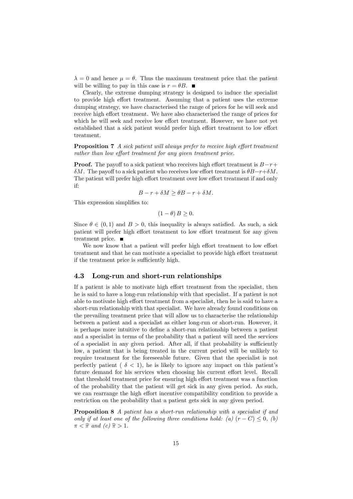$\lambda = 0$  and hence  $\mu = \theta$ . Thus the maximum treatment price that the patient will be willing to pay in this case is  $r = \theta B$ .

Clearly, the extreme dumping strategy is designed to induce the specialist to provide high effort treatment. Assuming that a patient uses the extreme dumping strategy, we have characterised the range of prices for he will seek and receive high effort treatment. We have also characterised the range of prices for which he will seek and receive low effort treatment. However, we have not yet established that a sick patient would prefer high effort treatment to low effort treatment.

**Proposition 7** A sick patient will always prefer to receive high effort treatment  $rather than low effort treatment for any given treatment price.$ 

**Proof.** The payoff to a sick patient who receives high effort treatment is  $B-r+$  $\delta M$ . The payoff to a sick patient who receives low effort treatment is  $\theta B-r+\delta M$ . The patient will prefer high effort treatment over low effort treatment if and only if:

$$
B - r + \delta M \ge \theta B - r + \delta M.
$$

This expression simplifies to:

$$
(1 - \theta) B \ge 0.
$$

Since  $\theta \in (0, 1)$  and  $B > 0$ , this inequality is always satisfied. As such, a sick patient will prefer high effort treatment to low effort treatment for any given treatment price.

We now know that a patient will prefer high effort treatment to low effort treatment and that he can motivate a specialist to provide high effort treatment if the treatment price is sufficiently high.

#### 4.3 Long-run and short-run relationships

If a patient is able to motivate high effort treatment from the specialist, then he is said to have a long-run relationship with that specialist. If a patient is not able to motivate high effort treatment from a specialist, then he is said to have a short-run relationship with that specialist. We have already found conditions on the prevailing treatment price that will allow us to characterise the relationship between a patient and a specialist as either long-run or short-run. However, it is perhaps more intuitive to define a short-run relationship between a patient and a specialist in terms of the probability that a patient will need the services of a specialist in any given period. After all, if that probability is sufficiently low, a patient that is being treated in the current period will be unlikely to require treatment for the foreseeable future. Given that the specialist is not perfectly patient ( $\delta$  < 1), he is likely to ignore any impact on this patient's future demand for his services when choosing his current effort level. Recall that threshold treatment price for ensuring high effort treatment was a function of the probability that the patient will get sick in any given period. As such, we can rearrange the high effort incentive compatibility condition to provide a restriction on the probability that a patient gets sick in any given period.

Proposition 8 A patient has a short-run relationship with a specialist if and only if at least one of the following three conditions hold: (a)  $(r - C) \leq 0$ , (b)  $\pi < \hat{\pi}$  and  $(c)$   $\hat{\pi} > 1$ .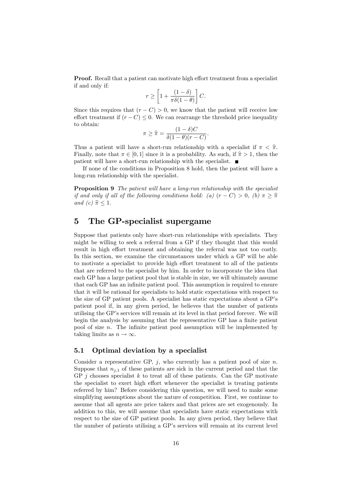**Proof.** Recall that a patient can motivate high effort treatment from a specialist if and only if:

$$
r \ge \left[1 + \frac{(1-\delta)}{\pi \delta(1-\theta)}\right]C.
$$

Since this requires that  $(r - C) > 0$ , we know that the patient will receive low effort treatment if  $(r - C) \leq 0$ . We can rearrange the threshold price inequality to obtain:

$$
\pi \geq \widehat{\pi} = \frac{(1-\delta)C}{\delta(1-\theta)(r-C)}.
$$

Thus a patient will have a short-run relationship with a specialist if  $\pi < \hat{\pi}$ . Finally, note that  $\pi \in [0, 1]$  since it is a probability. As such, if  $\hat{\pi} > 1$ , then the patient will have a short-run relationship with the specialist.

If none of the conditions in Proposition 8 hold, then the patient will have a long-run relationship with the specialist.

**Proposition 9** The patient will have a long-run relationship with the specialist if and only if all of the following conditions hold: (a)  $(r - C) > 0$ , (b)  $\pi \geq \hat{\pi}$ and (c)  $\hat{\pi} \leq 1$ .

## 5 The GP-specialist supergame

Suppose that patients only have short-run relationships with specialists. They might be willing to seek a referral from a GP if they thought that this would result in high effort treatment and obtaining the referral was not too costly. In this section, we examine the circumstances under which a GP will be able to motivate a specialist to provide high effort treatment to all of the patients that are referred to the specialist by him. In order to incorporate the idea that each GP has a large patient pool that is stable in size, we will ultimately assume that each GP has an infinite patient pool. This assumption is required to ensure that it will be rational for specialists to hold static expectations with respect to the size of GP patient pools. A specialist has static expectations about a GPís patient pool if, in any given period, he believes that the number of patients utilising the GP's services will remain at its level in that period forever. We will begin the analysis by assuming that the representative GP has a finite patient pool of size  $n$ . The infinite patient pool assumption will be implemented by taking limits as  $n \to \infty$ .

#### 5.1 Optimal deviation by a specialist

Consider a representative GP,  $j$ , who currently has a patient pool of size n. Suppose that  $n_{i,1}$  of these patients are sick in the current period and that the GP  $j$  chooses specialist  $k$  to treat all of these patients. Can the GP motivate the specialist to exert high effort whenever the specialist is treating patients referred by him? Before considering this question, we will need to make some simplifying assumptions about the nature of competition. First, we continue to assume that all agents are price takers and that prices are set exogenously. In addition to this, we will assume that specialists have static expectations with respect to the size of GP patient pools. In any given period, they believe that the number of patients utilising a GP's services will remain at its current level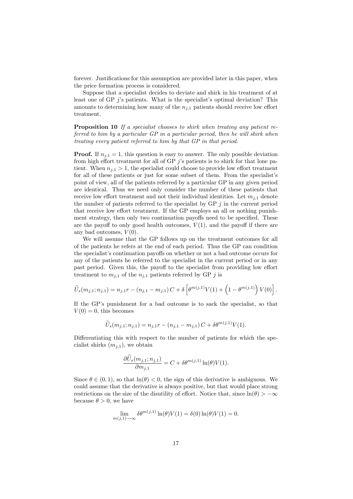forever. Justifications for this assumption are provided later in this paper, when the price formation process is considered.

Suppose that a specialist decides to deviate and shirk in his treatment of at least one of GP  $j$ 's patients. What is the specialist's optimal deviation? This amounts to determining how many of the  $n_{i,1}$  patients should receive low effort treatment.

Proposition 10 If a specialist chooses to shirk when treating any patient referred to him by a particular GP in a particular period, then he will shirk when treating every patient referred to him by that GP in that period.

**Proof.** If  $n_{i,1} = 1$ , this question is easy to answer. The only possible deviation from high effort treatment for all of GP  $j$ 's patients is to shirk for that lone patient. When  $n_{j,1} > 1$ , the specialist could choose to provide low effort treatment for all of these patients or just for some subset of them. From the specialist's point of view, all of the patients referred by a particular GP in any given period are identical. Thus we need only consider the number of these patients that receive low effort treatment and not their individual identities. Let  $m_{i,1}$  denote the number of patients referred to the specialist by GP  $j$  in the current period that receive low effort treatment. If the GP employs an all or nothing punishment strategy, then only two continuation payoffs need to be specified. These are the payoff to only good health outcomes,  $V(1)$ , and the payoff if there are any bad outcomes,  $V(0)$ .

We will assume that the GP follows up on the treatment outcomes for all of the patients he refers at the end of each period. Thus the GP can condition the specialist's continuation payoffs on whether or not a bad outcome occurs for any of the patients he referred to the specialist in the current period or in any past period. Given this, the payoff to the specialist from providing low effort treatment to  $m_{j,1}$  of the  $n_{j,1}$  patients referred by GP j is

$$
\widehat{U}_s(m_{j,1}; n_{j,1}) = n_{j,1}r - (n_{j,1} - m_{j,1})C + \delta \left[\theta^{m(j,1)}V(1) + \left(1 - \theta^{m(j,1)}\right)V(0)\right].
$$

If the GP's punishment for a bad outcome is to sack the specialist, so that  $V(0) = 0$ , this becomes

$$
\widehat{U}_s(m_{j,1}; n_{j,1}) = n_{j,1}r - (n_{j,1} - m_{j,1})C + \delta \theta^{m(j,1)}V(1).
$$

Differentiating this with respect to the number of patients for which the specialist shirks  $(m_{j,1})$ , we obtain

$$
\frac{\partial \hat{U}_s(m_{j,1}; n_{j,1})}{\partial m_{j,1}} = C + \delta \theta^{m(j,1)} \ln(\theta) V(1).
$$

Since  $\theta \in (0, 1)$ , so that  $\ln(\theta) < 0$ , the sign of this derivative is ambiguous. We could assume that the derivative is always positive, but that would place strong restrictions on the size of the disutility of effort. Notice that, since  $\ln(\theta) > -\infty$ because  $\theta > 0$ , we have

$$
\lim_{m(j,1)\to\infty} \delta\theta^{m(j,1)} \ln(\theta) V(1) = \delta(0) \ln(\theta) V(1) = 0.
$$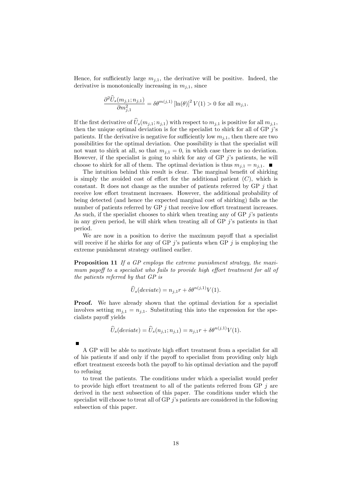Hence, for sufficiently large  $m_{i,1}$ , the derivative will be positive. Indeed, the derivative is monotonically increasing in  $m_{i,1}$ , since

$$
\frac{\partial^2 \hat{U}_s(m_{j,1}; n_{j,1})}{\partial m_{j,1}^2} = \delta \theta^{m(j,1)} \left[ \ln(\theta) \right]^2 V(1) > 0 \text{ for all } m_{j,1}.
$$

If the first derivative of  $\widehat{U}_{s}(m_{j,1}; n_{j,1})$  with respect to  $m_{j,1}$  is positive for all  $m_{j,1}$ , then the unique optimal deviation is for the specialist to shirk for all of GP  $j$ 's patients. If the derivative is negative for sufficiently low  $m_{i,1}$ , then there are two possibilities for the optimal deviation. One possibility is that the specialist will not want to shirk at all, so that  $m_{i,1} = 0$ , in which case there is no deviation. However, if the specialist is going to shirk for any of GP  $j$ 's patients, he will choose to shirk for all of them. The optimal deviation is thus  $m_{i,1} = n_{i,1}$ .

The intuition behind this result is clear. The marginal benefit of shirking is simply the avoided cost of effort for the additional patient  $(C)$ , which is constant. It does not change as the number of patients referred by  $GP$  *i* that receive low effort treatment increases. However, the additional probability of being detected (and hence the expected marginal cost of shirking) falls as the number of patients referred by  $\overline{GP}$  j that receive low effort treatment increases. As such, if the specialist chooses to shirk when treating any of GP  $j$ 's patients in any given period, he will shirk when treating all of GP  $j$ 's patients in that period.

We are now in a position to derive the maximum payoff that a specialist will receive if he shirks for any of GP  $j$ 's patients when GP  $j$  is employing the extreme punishment strategy outlined earlier.

Proposition 11 If a GP employs the extreme punishment strategy, the maximum payoff to a specialist who fails to provide high effort treatment for all of the patients referred by that GP is

$$
\widehat{U}_s(deviate) = n_{j,1}r + \delta\theta^{n(j,1)}V(1).
$$

Proof. We have already shown that the optimal deviation for a specialist involves setting  $m_{j,1} = n_{j,1}$ . Substituting this into the expression for the specialists payo§ yields

$$
\widehat{U}_s(deviate) = \widehat{U}_s(n_{j,1}; n_{j,1}) = n_{j,1}r + \delta\theta^{n(j,1)}V(1).
$$

A GP will be able to motivate high effort treatment from a specialist for all of his patients if and only if the payoff to specialist from providing only high effort treatment exceeds both the payoff to his optimal deviation and the payoff to refusing

to treat the patients. The conditions under which a specialist would prefer to provide high effort treatment to all of the patients referred from GP  $j$  are derived in the next subsection of this paper. The conditions under which the specialist will choose to treat all of GP  $j$ 's patients are considered in the following subsection of this paper.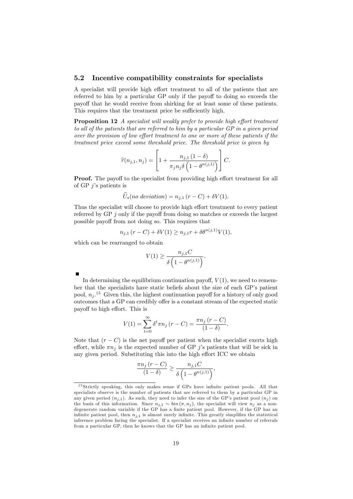#### 5.2 Incentive compatibility constraints for specialists

A specialist will provide high effort treatment to all of the patients that are referred to him by a particular GP only if the payoff to doing so exceeds the payoff that he would receive from shirking for at least some of these patients. This requires that the treatment price be sufficiently high.

**Proposition 12** A specialist will weakly prefer to provide high effort treatment to all of the patients that are referred to him by a particular GP in a given period over the provision of low effort treatment to one or more of these patients if the treatment price exceed some threshold price. The threshold price is given by

$$
\widehat{r}(n_{j,1}, n_j) = \left[1 + \frac{n_{j,1} (1 - \delta)}{\pi_j n_j \delta \left(1 - \theta^{n(j,1)}\right)}\right] C.
$$

**Proof.** The payoff to the specialist from providing high effort treatment for all of GP  $j$ 's patients is

$$
\hat{U}_s(no\ deviation) = n_{j,1}(r - C) + \delta V(1).
$$

Thus the specialist will choose to provide high effort treatment to every patient referred by GP  $j$  only if the payoff from doing so matches or exceeds the largest possible payo§ from not doing so. This requires that

$$
n_{j,1}(r - C) + \delta V(1) \ge n_{j,1}r + \delta \theta^{n(j,1)}V(1),
$$

which can be rearranged to obtain

$$
V(1) \ge \frac{n_{j,1}C}{\delta\left(1 - \theta^{n(j,1)}\right)}.
$$

| In determining the equilibrium continuation payoff, $V(1)$ , we need to remem-                   |
|--------------------------------------------------------------------------------------------------|
| ber that the specialists have static beliefs about the size of each GP's patient                 |
| pool, $n_i$ <sup>15</sup> Given this, the highest continuation payoff for a history of only good |
| outcomes that a GP can credibly offer is a constant stream of the expected static                |
| payoff to high effort. This is                                                                   |

$$
V(1) = \sum_{t=0}^{\infty} \delta^t \pi n_j (r - C) = \frac{\pi n_j (r - C)}{(1 - \delta)}.
$$

Note that  $(r - C)$  is the net payoff per patient when the specialist exerts high effort, while  $\pi n_i$  is the expected number of GP j's patients that will be sick in any given period. Substituting this into the high effort ICC we obtain

$$
\frac{\pi n_j (r-C)}{(1-\delta)} \ge \frac{n_{j,1}C}{\delta \left(1-\theta^{n(j,1)}\right)},
$$

 $15$  Strictly speaking, this only makes sense if GPs have infinite patient pools. All that specialists observe is the number of patients that are referred to them by a particular GP in any given period  $(n_{j,1})$ . As such, they need to infer the size of the GP's patient pool  $(n_j)$  on the basis of this information. Since  $n_{j,1} \sim \text{bin}(\pi, n_j)$ , the specialist will view  $n_j$  as a nondegenerate random variable if the GP has a finite patient pool. However, if the GP has an infinite patient pool, then  $n_{j,1}$  is almost surely infinite. This greatly simplifies the statistical inference problem facing the specialist. If a specialist receives an infinite number of referrals from a particular GP, then he knows that the GP has an infinite patient pool.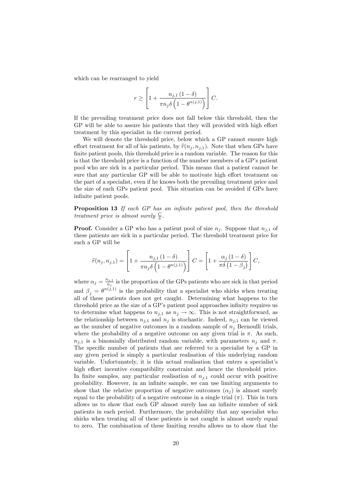which can be rearranged to yield

$$
r \ge \left[1 + \frac{n_{j,1} (1 - \delta)}{\pi n_j \delta \left(1 - \theta^{n(j,1)}\right)}\right] C.
$$

If the prevailing treatment price does not fall below this threshold, then the GP will be able to assure his patients that they will provided with high effort treatment by this specialist in the current period.

We will denote the threshold price, below which a GP cannot ensure high effort treatment for all of his patients, by  $\hat{r}(n_i, n_{i,1})$ . Note that when GPs have finite patient pools, this threshold price is a random variable. The reason for this is that the threshold price is a function of the number members of a GP's patient pool who are sick in a particular period. This means that a patient cannot be sure that any particular GP will be able to motivate high effort treatment on the part of a specialist, even if he knows both the prevailing treatment price and the size of each GPs patient pool. This situation can be avoided if GPs have infinite patient pools.

Proposition 13 If each GP has an infinite patient pool, then the threshold treatment price is almost surely  $\frac{C}{\delta}$ .

**Proof.** Consider a GP who has a patient pool of size  $n_j$ . Suppose that  $n_{j,1}$  of these patients are sick in a particular period. The threshold treatment price for such a GP will be

$$
\widehat{r}(n_j, n_{j,1}) = \left[1 + \frac{n_{j,1} (1 - \delta)}{\pi n_j \delta \left(1 - \theta^{n(j,1)}\right)}\right] C = \left[1 + \frac{\alpha_j (1 - \delta)}{\pi \delta \left(1 - \beta_j\right)}\right] C,
$$

where  $\alpha_j = \frac{n_{j,1}}{n_j}$  $\frac{n_{j,1}}{n_j}$  is the proportion of the GPs patients who are sick in that period and  $\beta_j = \theta^{n(j,1)}$  is the probability that a specialist who shirks when treating all of these patients does not get caught. Determining what happens to the threshold price as the size of a GP's patient pool approaches infinity requires us to determine what happens to  $n_{j,1}$  as  $n_j \to \infty$ . This is not straightforward, as the relationship between  $n_{j,1}$  and  $n_j$  is stochastic. Indeed,  $n_{j,1}$  can be viewed as the number of negative outcomes in a random sample of  $n_j$  Bernoulli trials, where the probability of a negative outcome on any given trial is  $\pi$ . As such,  $n_{i,1}$  is a binomially distributed random variable, with parameters  $n_i$  and  $\pi$ . The specific number of patients that are referred to a specialist by a GP in any given period is simply a particular realisation of this underlying random variable. Unfortunately, it is this actual realisation that enters a specialist's high effort incentive compatibility constraint and hence the threshold price. In finite samples, any particular realisation of  $n_{i,1}$  could occur with positive probability. However, in an infinite sample, we can use limiting arguments to show that the relative proportion of negative outcomes  $(\alpha_i)$  is almost surely equal to the probability of a negative outcome in a single trial  $(\pi)$ . This in turn allows us to show that each GP almost surely has an infinite number of sick patients in each period. Furthermore, the probability that any specialist who shirks when treating all of these patients is not caught is almost surely equal to zero. The combination of these limiting results allows us to show that the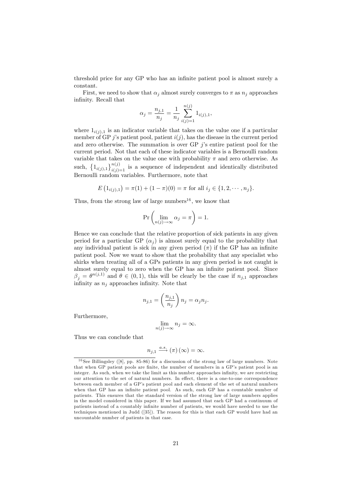threshold price for any GP who has an infinite patient pool is almost surely a constant.

First, we need to show that  $\alpha_i$  almost surely converges to  $\pi$  as  $n_i$  approaches infinity. Recall that

$$
\alpha_j = \frac{n_{j,1}}{n_j} = \frac{1}{n_j} \sum_{i(j)=1}^{n(j)} 1_{i(j),1},
$$

where  $1_{i(j),1}$  is an indicator variable that takes on the value one if a particular member of GP j's patient pool, patient  $i(j)$ , has the disease in the current period and zero otherwise. The summation is over GP  $\hat{j}$ 's entire patient pool for the current period. Not that each of these indicator variables is a Bernoulli random variable that takes on the value one with probability  $\pi$  and zero otherwise. As such,  $\{1_{i(j),1}\}_{i(j)=1}^{n(j)}$  is a sequence of independent and identically distributed Bernoulli random variables. Furthermore, note that

$$
E(1_{i(j),1}) = \pi(1) + (1 - \pi)(0) = \pi \text{ for all } i_j \in \{1, 2, \cdots, n_j\}.
$$

Thus, from the strong law of large numbers<sup>16</sup>, we know that

$$
\Pr\left(\lim_{n(j)\to\infty}\alpha_j=\pi\right)=1.
$$

Hence we can conclude that the relative proportion of sick patients in any given period for a particular GP  $(\alpha_j)$  is almost surely equal to the probability that any individual patient is sick in any given period  $(\pi)$  if the GP has an infinite patient pool. Now we want to show that the probability that any specialist who shirks when treating all of a GPs patients in any given period is not caught is almost surely equal to zero when the GP has an infinite patient pool. Since  $\beta_j = \theta^{n(j,1)}$  and  $\theta \in (0,1)$ , this will be clearly be the case if  $n_{j,1}$  approaches infinity as  $n_i$  approaches infinity. Note that

$$
n_{j,1} = \left(\frac{n_{j,1}}{n_j}\right) n_j = \alpha_j n_j.
$$

Furthermore,

$$
\lim_{n(j)\to\infty} n_j = \infty.
$$

Thus we can conclude that

$$
u_{j,1} \xrightarrow{a.s.} (\pi) (\infty) = \infty.
$$

 $\gamma$ 

 $16$  See Billingsley ([8], pp. 85-86) for a discussion of the strong law of large numbers. Note that when GP patient pools are finite, the number of members in a GP's patient pool is an integer. As such, when we take the limit as this number approaches infinity, we are restricting our attention to the set of natural numbers. In effect, there is a one-to-one correspondence between each member of a GP's patient pool and each element of the set of natural numbers when that GP has an infinite patient pool. As such, each GP has a countable number of patients. This ensures that the standard version of the strong law of large numbers applies in the model considered in this paper. If we had assumed that each GP had a continuum of patients instead of a countably infinite number of patients, we would have needed to use the techniques mentioned in Judd ([35]). The reason for this is that each GP would have had an uncountable number of patients in that case.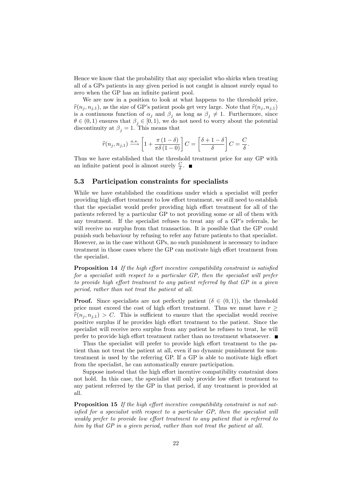Hence we know that the probability that any specialist who shirks when treating all of a GPs patients in any given period is not caught is almost surely equal to zero when the GP has an infinite patient pool.

We are now in a position to look at what happens to the threshold price,  $\hat{r}(n_i, n_{i,1})$ , as the size of GP's patient pools get very large. Note that  $\hat{r}(n_i, n_{i,1})$ is a continuous function of  $\alpha_j$  and  $\beta_j$  as long as  $\beta_j \neq 1$ . Furthermore, since  $\theta \in (0,1)$  ensures that  $\beta_j \in [0,1)$ , we do not need to worry about the potential discontinuity at  $\beta_j = 1$ . This means that

$$
\widehat{r}(n_j, n_{j,1}) \xrightarrow{a.s.} \left[1 + \frac{\pi (1 - \delta)}{\pi \delta (1 - 0)}\right] C = \left[\frac{\delta + 1 - \delta}{\delta}\right] C = \frac{C}{\delta}.
$$

Thus we have established that the threshold treatment price for any GP with an infinite patient pool is almost surely  $\frac{C}{\delta}$ .

### 5.3 Participation constraints for specialists

While we have established the conditions under which a specialist will prefer providing high effort treatment to low effort treatment, we still need to establish that the specialist would prefer providing high effort treatment for all of the patients referred by a particular GP to not providing some or all of them with any treatment. If the specialist refuses to treat any of a  $\text{GP's referals},$  he will receive no surplus from that transaction. It is possible that the GP could punish such behaviour by refusing to refer any future patients to that specialist. However, as in the case without GPs, no such punishment is necessary to induce treatment in those cases where the GP can motivate high effort treatment from the specialist.

Proposition 14 If the high effort incentive compatibility constraint is satisfied for a specialist with respect to a particular GP, then the specialist will prefer to provide high effort treatment to any patient referred by that  $GP$  in a given period, rather than not treat the patient at all.

**Proof.** Since specialists are not perfectly patient  $(\delta \in (0,1))$ , the threshold price must exceed the cost of high effort treatment. Thus we must have  $r >$  $\hat{r}(n_i, n_{i,1}) > C$ . This is sufficient to ensure that the specialist would receive positive surplus if he provides high effort treatment to the patient. Since the specialist will receive zero surplus from any patient he refuses to treat, he will prefer to provide high effort treatment rather than no treatment whatsoever.  $\blacksquare$ 

Thus the specialist will prefer to provide high effort treatment to the patient than not treat the patient at all, even if no dynamic punishment for nontreatment is used by the referring GP. If a GP is able to motivate high effort from the specialist, he can automatically ensure participation.

Suppose instead that the high effort incentive compatibility constraint does not hold. In this case, the specialist will only provide low effort treatment to any patient referred by the GP in that period, if any treatment is provided at all.

Proposition 15 If the high effort incentive compatibility constraint is not satisfied for a specialist with respect to a particular  $GP$ , then the specialist will weakly prefer to provide low effort treatment to any patient that is referred to him by that GP in a given period, rather than not treat the patient at all.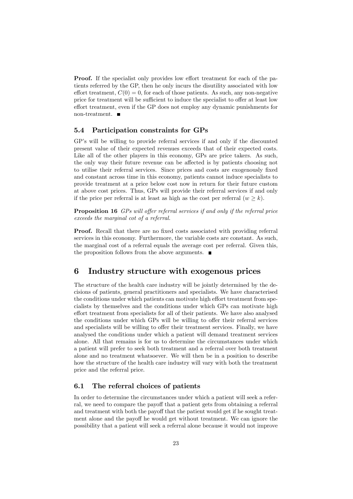**Proof.** If the specialist only provides low effort treatment for each of the patients referred by the GP, then he only incurs the disutility associated with low effort treatment,  $C(0) = 0$ , for each of those patients. As such, any non-negative price for treatment will be sufficient to induce the specialist to offer at least low effort treatment, even if the GP does not employ any dynamic punishments for non-treatment.  $\blacksquare$ 

## 5.4 Participation constraints for GPs

GP's will be willing to provide referral services if and only if the discounted present value of their expected revenues exceeds that of their expected costs. Like all of the other players in this economy, GPs are price takers. As such, the only way their future revenue can be affected is by patients choosing not to utilise their referral services. Since prices and costs are exogenously fixed and constant across time in this economy, patients cannot induce specialists to provide treatment at a price below cost now in return for their future custom at above cost prices. Thus, GPs will provide their referral services if and only if the price per referral is at least as high as the cost per referral  $(w \ge k)$ .

**Proposition 16** GPs will offer referral services if and only if the referral price exceeds the marginal cot of a referral.

**Proof.** Recall that there are no fixed costs associated with providing referral services in this economy. Furthermore, the variable costs are constant. As such, the marginal cost of a referral equals the average cost per referral. Given this, the proposition follows from the above arguments.  $\blacksquare$ 

## 6 Industry structure with exogenous prices

The structure of the health care industry will be jointly determined by the decisions of patients, general practitioners and specialists. We have characterised the conditions under which patients can motivate high effort treatment from specialists by themselves and the conditions under which GPs can motivate high effort treatment from specialists for all of their patients. We have also analysed the conditions under which GPs will be willing to offer their referral services and specialists will be willing to offer their treatment services. Finally, we have analysed the conditions under which a patient will demand treatment services alone. All that remains is for us to determine the circumstances under which a patient will prefer to seek both treatment and a referral over both treatment alone and no treatment whatsoever. We will then be in a position to describe how the structure of the health care industry will vary with both the treatment price and the referral price.

## 6.1 The referral choices of patients

In order to determine the circumstances under which a patient will seek a referral, we need to compare the payoff that a patient gets from obtaining a referral and treatment with both the payoff that the patient would get if he sought treatment alone and the payoff he would get without treatment. We can ignore the possibility that a patient will seek a referral alone because it would not improve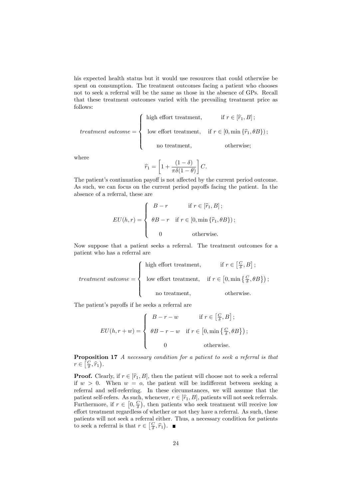his expected health status but it would use resources that could otherwise be spent on consumption. The treatment outcomes facing a patient who chooses not to seek a referral will be the same as those in the absence of GPs. Recall that these treatment outcomes varied with the prevailing treatment price as follows:

$$
treatment\ outcome = \left\{\begin{array}{ll}\text{high effort treatment}, & \text{if } r \in [\hat{r}_1, B];\\ & \text{low effort treatment}, & \text{if } r \in [0, \min{\{\hat{r}_1, \theta B\}});\\ & \text{no treatment}, & \text{otherwise}; \end{array}\right.
$$

where

$$
\widehat{r}_1 = \left[1 + \frac{(1-\delta)}{\pi \delta(1-\theta)}\right]C.
$$

The patient's continuation payoff is not affected by the current period outcome. As such, we can focus on the current period payoffs facing the patient. In the absence of a referral, these are

$$
EU(h,r) = \begin{cases} B-r & \text{if } r \in [\hat{r}_1, B]; \\ \theta B - r & \text{if } r \in [0, \min{\{\hat{r}_1, \theta B\}}); \\ 0 & \text{otherwise.} \end{cases}
$$

Now suppose that a patient seeks a referral. The treatment outcomes for a patient who has a referral are

$$
treatment\ outcome = \left\{ \begin{array}{ll} \text{high effort treatment}, & \text{if } r \in \left[\frac{C}{\delta}, B\right]; \\ \\ \text{low effort treatment}, & \text{if } r \in \left[0, \min\left\{\frac{C}{\delta}, \theta B\right\}\right); \\ \\ \text{no treatment}, & \text{otherwise.} \end{array} \right.
$$

The patient's payoffs if he seeks a referral are

$$
EU(h, r + w) = \begin{cases} B - r - w & \text{if } r \in \left[\frac{C}{\delta}, B\right]; \\ \theta B - r - w & \text{if } r \in \left[0, \min\left\{\frac{C}{\delta}, \theta B\right\}\right); \\ 0 & \text{otherwise.} \end{cases}
$$

Proposition 17 A necessary condition for a patient to seek a referral is that  $r \in \left[\frac{C}{\delta}, \hat{r}_1\right).$ 

**Proof.** Clearly, if  $r \in [\hat{r}_1, B]$ , then the patient will choose not to seek a referral if  $w > 0$ . When  $w = o$ , the patient will be indifferent between seeking a referral and self-referring. In these circumstances, we will assume that the patient self-refers. As such, whenever,  $r \in [\hat{r}_1, B]$ , patients will not seek referrals. Furthermore, if  $r \in [0, \frac{C}{\delta})$ , then patients who seek treatment will receive low effort treatment regardless of whether or not they have a referral. As such, these patients will not seek a referral either. Thus, a necessary condition for patients to seek a referral is that  $r \in \left[\frac{C}{\delta}, \hat{r}_1\right)$ .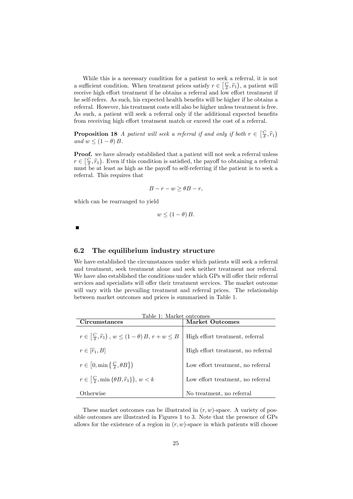While this is a necessary condition for a patient to seek a referral, it is not a sufficient condition. When treatment prices satisfy  $r \in \left[\frac{C}{\delta}, \hat{r}_1\right)$ , a patient will receive high effort treatment if he obtains a referral and low effort treatment if he self-refers. As such, his expected health benefits will be higher if he obtains a referral. However, his treatment costs will also be higher unless treatment is free. As such, a patient will seek a referral only if the additional expected benefits from receiving high effort treatment match or exceed the cost of a referral.

**Proposition 18** A patient will seek a referral if and only if both  $r \in \left[\frac{C}{\delta}, \hat{r}_1\right)$ and  $w < (1 - \theta) B$ .

Proof. we have already established that a patient will not seek a referral unless  $r \in \left[\frac{C}{\delta}, \hat{r}_1\right)$ . Even if this condition is satisfied, the payoff to obtaining a referral must be at least as high as the payoff to self-referring if the patient is to seek a referral. This requires that

$$
B - r - w \ge \theta B - r,
$$

which can be rearranged to yield

$$
w \le (1 - \theta) B.
$$

### 6.2 The equilibrium industry structure

We have established the circumstances under which patients will seek a referral and treatment, seek treatment alone and seek neither treatment nor referral. We have also established the conditions under which GPs will offer their referral services and specialists will offer their treatment services. The market outcome will vary with the prevailing treatment and referral prices. The relationship between market outcomes and prices is summarised in Table 1.

| Table 1: Market outcomes<br>Circumstances                                        | Market Outcomes                    |
|----------------------------------------------------------------------------------|------------------------------------|
| $r \in \left[\frac{C}{\delta}, \hat{r}_1\right), w \leq (1-\theta)B, r+w \leq B$ | High effort treatment, referral    |
| $r \in [\widehat{r}_1, B]$                                                       | High effort treatment, no referral |
| $r \in [0, \min\left\{\frac{C}{\delta}, \theta B\right\})$                       | Low effort treatment, no referral  |
| $r \in \left[\frac{C}{\delta}, \min\{\theta B, \hat{r}_1\}\right], w < k$        | Low effort treatment, no referral  |
| Otherwise                                                                        | No treatment, no referral          |

These market outcomes can be illustrated in  $(r, w)$ -space. A variety of possible outcomes are illustrated in Figures 1 to 3. Note that the presence of GPs allows for the existence of a region in  $(r, w)$ -space in which patients will choose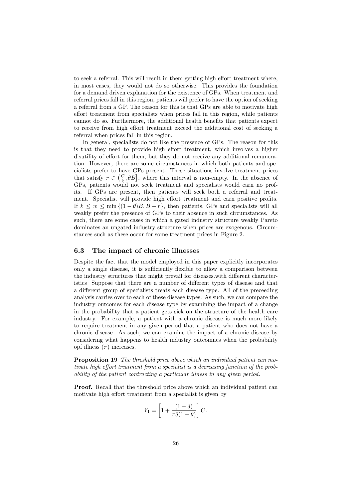to seek a referral. This will result in them getting high effort treatment where, in most cases, they would not do so otherwise. This provides the foundation for a demand driven explanation for the existence of GPs. When treatment and referral prices fall in this region, patients will prefer to have the option of seeking a referral from a GP. The reason for this is that GPs are able to motivate high effort treatment from specialists when prices fall in this region, while patients cannot do so. Furthermore, the additional health benefits that patients expect to receive from high effort treatment exceed the additional cost of seeking a referral when prices fall in this region.

In general, specialists do not like the presence of GPs. The reason for this is that they need to provide high effort treatment, which involves a higher disutility of effort for them, but they do not receive any additional remuneration. However, there are some circumstances in which both patients and specialists prefer to have GPs present. These situations involve treatment prices that satisfy  $r \in \left(\frac{C}{\delta}, \theta B\right]$ , where this interval is non-empty. In the absence of GPs, patients would not seek treatment and specialists would earn no profits. If GPs are present, then patients will seek both a referral and treatment. Specialist will provide high effort treatment and earn positive profits. If  $k \leq w \leq \min \{(1 - \theta)B, B - r\}$ , then patients, GPs and specialists will all weakly prefer the presence of GPs to their absence in such circumstances. As such, there are some cases in which a gated industry structure weakly Pareto dominates an ungated industry structure when prices are exogenous. Circumstances such as these occur for some treatment prices in Figure 2.

#### 6.3 The impact of chronic illnesses

Despite the fact that the model employed in this paper explicitly incorporates only a single disease, it is sufficiently flexible to allow a comparison between the industry structures that might prevail for diseases with different characteristics Suppose that there are a number of different types of disease and that a different group of specialists treats each disease type. All of the preceeding analysis carries over to each of these disease types. As such, we can compare the industry outcomes for each disease type by examining the impact of a change in the probability that a patient gets sick on the structure of the health care industry. For example, a patient with a chronic disease is much more likely to require treatment in any given period that a patient who does not have a chronic disease. As such, we can examine the impact of a chronic disease by considering what happens to health industry outcomnes when the probability opf illness  $(\pi)$  increases.

Proposition 19 The threshold price above which an individual patient can motivate high effort treatment from a specialist is a decreasing function of the probability of the patient contracting a particular illness in any given period.

Proof. Recall that the threshold price above which an individual patient can motivate high effort treatment from a specialist is given by

$$
\widehat{r}_1 = \left[1 + \frac{(1-\delta)}{\pi \delta(1-\theta)}\right]C.
$$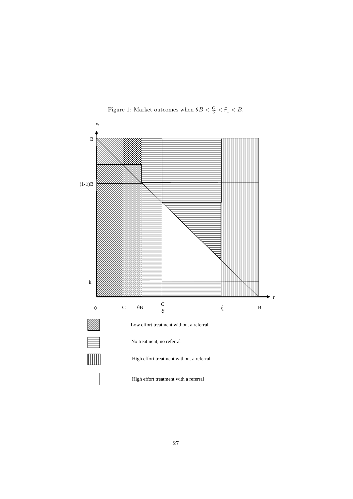

Figure 1: Market outcomes when  $\theta B < \frac{C}{\delta} < \hat{r}_1 < B$ .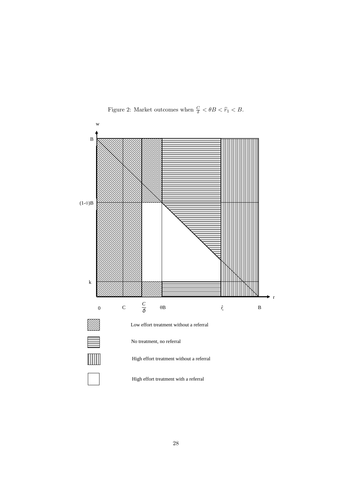

Figure 2: Market outcomes when  $\frac{C}{\delta} < \theta B < \hat{r}_1 < B$ .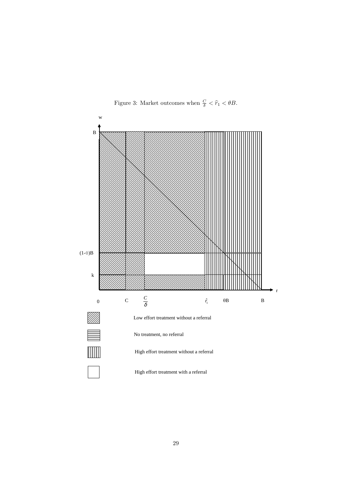

Figure 3: Market outcomes when  $\frac{C}{\delta} < \hat{r}_1 < \theta B$ .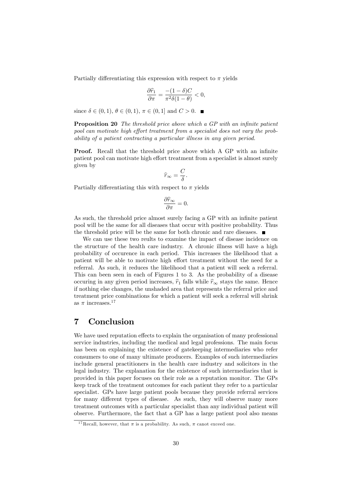Partially differentiating this expression with respect to  $\pi$  yields

$$
\frac{\partial \widehat{r}_1}{\partial \pi} = \frac{-(1-\delta)C}{\pi^2 \delta(1-\theta)} < 0,
$$

since  $\delta \in (0, 1), \theta \in (0, 1), \pi \in (0, 1]$  and  $C > 0$ .

**Proposition 20** The threshold price above which a GP with an infinite patient pool can motivate high effort treatment from a specialist does not vary the probability of a patient contracting a particular illness in any given period.

**Proof.** Recall that the threshold price above which A GP with an infinite patient pool can motivate high effort treatment from a specialist is almost surely given by

$$
\widehat{r}_\infty=\frac{C}{\delta}.
$$

Partially differentiating this with respect to  $\pi$  yields

$$
\frac{\partial \widehat{r}_{\infty}}{\partial \pi} = 0.
$$

As such, the threshold price almost surely facing a GP with an infinite patient pool will be the same for all diseases that occur with positive probability. Thus the threshold price will be the same for both chronic and rare diseases.

We can use these two reults to examine the impact of disease incidence on the structure of the health care industry. A chronic illness will have a high probability of occurence in each period. This increases the likelihood that a patient will be able to motivate high effort treatment without the need for a referral. As such, it reduces the likelihood that a patient will seek a referral. This can been seen in each of Figures 1 to 3. As the probability of a disease occuring in any given period increases,  $\hat{r}_1$  falls while  $\hat{r}_\infty$  stays the same. Hence if nothing else changes, the unshaded area that represents the referral price and treatment price combinations for which a patient will seek a referral will shrink as  $\pi$  increases.  $^{17}$ 

## 7 Conclusion

We have used reputation effects to explain the organisation of many professional service industries, including the medical and legal professions. The main focus has been on explaining the existence of gatekeeping intermediaries who refer consumers to one of many ultimate producers. Examples of such intermediaries include general practitioners in the health care industry and solicitors in the legal industry. The explanation for the existence of such intermediaries that is provided in this paper focuses on their role as a reputation monitor. The GPs keep track of the treatment outcomes for each patient they refer to a particular specialist. GPs have large patient pools because they provide referral services for many different types of disease. As such, they will observe many more treatment outcomes with a particular specialist than any individual patient will observe. Furthermore, the fact that a GP has a large patient pool also means

<sup>&</sup>lt;sup>17</sup>Recall, however, that  $\pi$  is a probability. As such,  $\pi$  canot exceed one.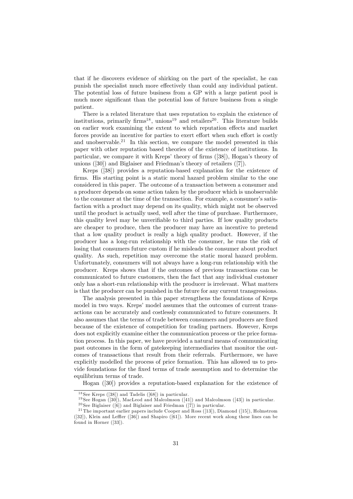that if he discovers evidence of shirking on the part of the specialist, he can punish the specialist much more effectively than could any individual patient. The potential loss of future business from a GP with a large patient pool is much more significant than the potential loss of future business from a single patient.

There is a related literature that uses reputation to explain the existence of institutions, primarily firms<sup>18</sup>, unions<sup>19</sup> and retailers<sup>20</sup>. This literature builds on earlier work examining the extent to which reputation effects and market forces provide an incentive for parties to exert effort when such effort is costly and unobservable.<sup>21</sup> In this section, we compare the model presented in this paper with other reputation based theories of the existence of institutions. In particular, we compare it with Kreps' theory of firms  $([38])$ , Hogan's theory of unions  $([30])$  and Biglaiser and Friedman's theory of retailers  $([7])$ .

Kreps ([38]) provides a reputation-based explanation for the existence of firms. His starting point is a static moral hazard problem similar to the one considered in this paper. The outcome of a transaction between a consumer and a producer depends on some action taken by the producer which is unobservable to the consumer at the time of the transaction. For example, a consumer's satisfaction with a product may depend on its quality, which might not be observed until the product is actually used, well after the time of purchase. Furthermore, this quality level may be unverifiable to third parties. If low quality products are cheaper to produce, then the producer may have an incentive to pretend that a low quality product is really a high quality product. However, if the producer has a long-run relationship with the consumer, he runs the risk of losing that consumers future custom if he misleads the consumer about product quality. As such, repetition may overcome the static moral hazard problem. Unfortunately, consumers will not always have a long-run relationship with the producer. Kreps shows that if the outcomes of previous transactions can be communicated to future customers, then the fact that any individual customer only has a short-run relationship with the producer is irrelevant. What matters is that the producer can be punished in the future for any current transgressions.

The analysis presented in this paper strengthens the foundations of Kreps model in two ways. Kreps' model assumes that the outcomes of current transactions can be accurately and costlessly communicated to future consumers. It also assumes that the terms of trade between consumers and producers are Öxed because of the existence of competition for trading partners. However, Kreps does not explicitly examine either the communication process or the price formation process. In this paper, we have provided a natural means of communicating past outcomes in the form of gatekeeping intermediaries that monitor the outcomes of transactions that result from their referrals. Furthermore, we have explicitly modelled the process of price formation. This has allowed us to provide foundations for the Öxed terms of trade assumption and to determine the equilibrium terms of trade.

Hogan ([30]) provides a reputation-based explanation for the existence of

 $18$  See Kreps ([38]) and Tadelis ([68]) in particular.

<sup>&</sup>lt;sup>19</sup> See Hogan ([30]), MacLeod and Malcolmson ([41]) and Malcolmson ([43]) in particular.

<sup>&</sup>lt;sup>20</sup> See Biglaiser ([6]) and Biglaiser and Friedman ([7]) in particular.

<sup>&</sup>lt;sup>21</sup> The important earlier papers include Cooper and Ross ([13]), Diamond ([15]), Holmstrom  $([32]),$  Klein and Leffler  $([36])$  and Shapiro  $([61]).$  More recent work along these lines can be found in Horner ([33]).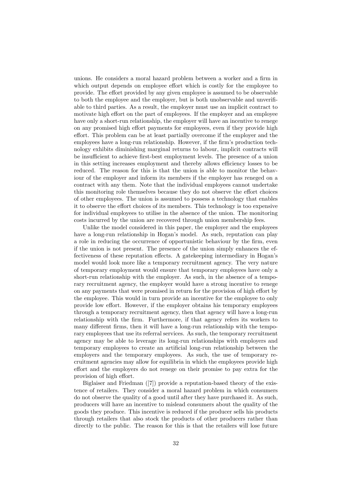unions. He considers a moral hazard problem between a worker and a firm in which output depends on employee effort which is costly for the employee to provide. The effort provided by any given employee is assumed to be observable to both the employee and the employer, but is both unobservable and unverifiable to third parties. As a result, the employer must use an implicit contract to motivate high effort on the part of employees. If the employer and an employee have only a short-run relationship, the employer will have an incentive to renege on any promised high effort payments for employees, even if they provide high effort. This problem can be at least partially overcome if the employer and the employees have a long-run relationship. However, if the firm's production technology exhibits diminishing marginal returns to labour, implicit contracts will be insufficient to achieve first-best employment levels. The presence of a union in this setting increases employment and thereby allows efficiency losses to be reduced. The reason for this is that the union is able to monitor the behaviour of the employer and inform its members if the employer has reneged on a contract with any them. Note that the individual employees cannot undertake this monitoring role themselves because they do not observe the effort choices of other employees. The union is assumed to possess a technology that enables it to observe the effort choices of its members. This technology is too expensive for individual employees to utilise in the absence of the union. The monitoring costs incurred by the union are recovered through union membership fees.

Unlike the model considered in this paper, the employer and the employees have a long-run relationship in Hogan's model. As such, reputation can play a role in reducing the occurrence of opportunistic behaviour by the firm, even if the union is not present. The presence of the union simply enhances the effectiveness of these reputation effects. A gatekeeping intermediary in Hogan's model would look more like a temporary recruitment agency. The very nature of temporary employment would ensure that temporary employees have only a short-run relationship with the employer. As such, in the absence of a temporary recruitment agency, the employer would have a strong incentive to renege on any payments that were promised in return for the provision of high effort by the employee. This would in turn provide an incentive for the employee to only provide low effort. However, if the employer obtains his temporary employees through a temporary recruitment agency, then that agency will have a long-run relationship with the Örm. Furthermore, if that agency refers its workers to many different firms, then it will have a long-run relationship with the temporary employees that use its referral services. As such, the temporary recruitment agency may be able to leverage its long-run relationships with employers and temporary employees to create an artificial long-run relationship between the employers and the temporary employees. As such, the use of temporary recruitment agencies may allow for equilibria in which the employees provide high effort and the employers do not renege on their promise to pay extra for the provision of high effort.

Biglaiser and Friedman ([7]) provide a reputation-based theory of the existence of retailers. They consider a moral hazard problem in which consumers do not observe the quality of a good until after they have purchased it. As such, producers will have an incentive to mislead consumers about the quality of the goods they produce. This incentive is reduced if the producer sells his products through retailers that also stock the products of other producers rather than directly to the public. The reason for this is that the retailers will lose future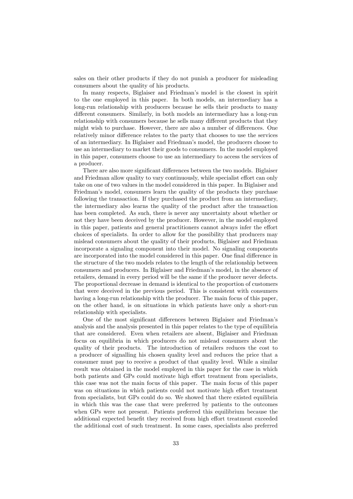sales on their other products if they do not punish a producer for misleading consumers about the quality of his products.

In many respects, Biglaiser and Friedmanís model is the closest in spirit to the one employed in this paper. In both models, an intermediary has a long-run relationship with producers because he sells their products to many different consumers. Similarly, in both models an intermediary has a long-run relationship with consumers because he sells many different products that they might wish to purchase. However, there are also a number of differences. One relatively minor difference relates to the party that chooses to use the services of an intermediary. In Biglaiser and Friedmanís model, the producers choose to use an intermediary to market their goods to consumers. In the model employed in this paper, consumers choose to use an intermediary to access the services of a producer.

There are also more significant differences between the two models. Biglaiser and Friedman allow quality to vary continuously, while specialist effort can only take on one of two values in the model considered in this paper. In Biglaiser and Friedman's model, consumers learn the quality of the products they purchase following the transaction. If they purchased the product from an intermediary, the intermediary also learns the quality of the product after the transaction has been completed. As such, there is never any uncertainty about whether or not they have been deceived by the producer. However, in the model employed in this paper, patients and general practitioners cannot always infer the effort choices of specialists. In order to allow for the possibility that producers may mislead consumers about the quality of their products, Biglaiser and Friedman incorporate a signaling component into their model. No signaling components are incorporated into the model considered in this paper. One final difference in the structure of the two models relates to the length of the relationship between consumers and producers. In Biglaiser and Friedmanís model, in the absence of retailers, demand in every period will be the same if the producer never defects. The proportional decrease in demand is identical to the proportion of customers that were deceived in the previous period. This is consistent with consumers having a long-run relationship with the producer. The main focus of this paper, on the other hand, is on situations in which patients have only a short-run relationship with specialists.

One of the most significant differences between Biglaiser and Friedman's analysis and the analysis presented in this paper relates to the type of equilibria that are considered. Even when retailers are absent, Biglaiser and Friedman focus on equilibria in which producers do not mislead consumers about the quality of their products. The introduction of retailers reduces the cost to a producer of signalling his chosen quality level and reduces the price that a consumer must pay to receive a product of that quality level. While a similar result was obtained in the model employed in this paper for the case in which both patients and GPs could motivate high effort treatment from specialists, this case was not the main focus of this paper. The main focus of this paper was on situations in which patients could not motivate high effort treatment from specialists, but GPs could do so. We showed that there existed equilibria in which this was the case that were preferred by patients to the outcomes when GPs were not present. Patients preferred this equilibrium because the additional expected benefit they received from high effort treatment exceeded the additional cost of such treatment. In some cases, specialists also preferred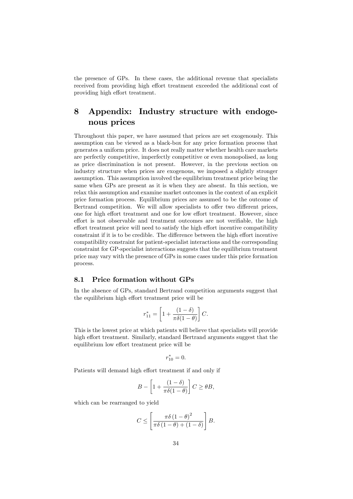the presence of GPs. In these cases, the additional revenue that specialists received from providing high effort treatment exceeded the additional cost of providing high effort treatment.

## 8 Appendix: Industry structure with endogenous prices

Throughout this paper, we have assumed that prices are set exogenously. This assumption can be viewed as a black-box for any price formation process that generates a uniform price. It does not really matter whether health care markets are perfectly competitive, imperfectly competitive or even monopolised, as long as price discrimination is not present. However, in the previous section on industry structure when prices are exogenous, we imposed a slightly stronger assumption. This assumption involved the equilibrium treatment price being the same when GPs are present as it is when they are absent. In this section, we relax this assumption and examine market outcomes in the context of an explicit price formation process. Equilibrium prices are assumed to be the outcome of Bertrand competition. We will allow specialists to offer two different prices, one for high effort treatment and one for low effort treatment. However, since effort is not observable and treatment outcomes are not verifiable, the high effort treatment price will need to satisfy the high effort incentive compatibility constraint if it is to be credible. The difference between the high effort incentive compatibility constraint for patient-specialist interactions and the corresponding constraint for GP-specialist interactions suggests that the equilibrium treatment price may vary with the presence of GPs in some cases under this price formation process.

### 8.1 Price formation without GPs

In the absence of GPs, standard Bertrand competition arguments suggest that the equilibrium high effort treatment price will be

$$
r_{11}^* = \left[1 + \frac{(1-\delta)}{\pi \delta(1-\theta)}\right]C.
$$

This is the lowest price at which patients will believe that specialists will provide high effort treatment. Similarly, standard Bertrand arguments suggest that the equilibrium low effort treatment price will be

$$
r_{10}^* = 0.
$$

Patients will demand high effort treatment if and only if

$$
B - \left[1 + \frac{(1 - \delta)}{\pi \delta (1 - \theta)}\right] C \ge \theta B,
$$

which can be rearranged to yield

$$
C \leq \left[ \frac{\pi \delta \left(1 - \theta\right)^2}{\pi \delta \left(1 - \theta\right) + \left(1 - \delta\right)} \right] B.
$$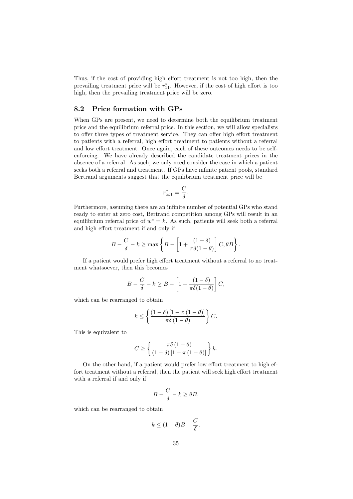Thus, if the cost of providing high effort treatment is not too high, then the prevailing treatment price will be  $r_{11}^*$ . However, if the cost of high effort is too high, then the prevailing treatment price will be zero.

## 8.2 Price formation with GPs

When GPs are present, we need to determine both the equilibrium treatment price and the equilibrium referral price. In this section, we will allow specialists to offer three types of treatment service. They can offer high effort treatment to patients with a referral, high effort treatment to patients without a referral and low effort treatment. Once again, each of these outcomes needs to be selfenforcing. We have already described the candidate treatment prices in the absence of a referral. As such, we only need consider the case in which a patient seeks both a referral and treatment. If GPs have infinite patient pools, standard Bertrand arguments suggest that the equilibrium treatment price will be

$$
r^*_{\infty 1}=\frac{C}{\delta}.
$$

Furthermore, assuming there are an infinite number of potential GPs who stand ready to enter at zero cost, Bertrand competition among GPs will result in an equilibrium referral price of  $w^* = k$ . As such, patients will seek both a referral and high effort treatment if and only if

$$
B - \frac{C}{\delta} - k \ge \max \left\{ B - \left[ 1 + \frac{(1 - \delta)}{\pi \delta (1 - \theta)} \right] C, \theta B \right\}.
$$

If a patient would prefer high effort treatment without a referral to no treatment whatsoever, then this becomes

$$
B - \frac{C}{\delta} - k \ge B - \left[1 + \frac{(1 - \delta)}{\pi \delta (1 - \theta)}\right]C,
$$

which can be rearranged to obtain

$$
k \leq \left\{ \frac{(1-\delta)\left[1-\pi\left(1-\theta\right)\right]}{\pi\delta\left(1-\theta\right)} \right\} C.
$$

This is equivalent to

$$
C \ge \left\{ \frac{\pi \delta \left(1 - \theta\right)}{\left(1 - \delta\right) \left[1 - \pi \left(1 - \theta\right)\right]} \right\} k.
$$

On the other hand, if a patient would prefer low effort treatment to high effort treatment without a referral, then the patient will seek high effort treatment with a referral if and only if

$$
B - \frac{C}{\delta} - k \ge \theta B,
$$

which can be rearranged to obtain

$$
k \le (1 - \theta)B - \frac{C}{\delta}.
$$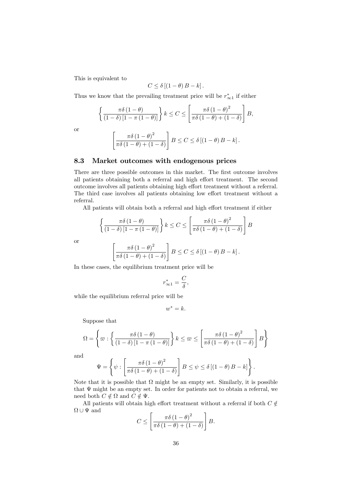This is equivalent to

$$
C \leq \delta [(1 - \theta) B - k].
$$

Thus we know that the prevailing treatment price will be  $r^*_{\infty 1}$  if either

$$
\left\{\frac{\pi\delta\left(1-\theta\right)}{\left(1-\delta\right)\left[1-\pi\left(1-\theta\right)\right]}\right\}k \leq C \leq \left[\frac{\pi\delta\left(1-\theta\right)^2}{\pi\delta\left(1-\theta\right) + \left(1-\delta\right)}\right]B,
$$

or

$$
\left[\frac{\pi\delta\left(1-\theta\right)^2}{\pi\delta\left(1-\theta\right)+(1-\delta)}\right]B \leq C \leq \delta\left[\left(1-\theta\right)B - k\right].
$$

## 8.3 Market outcomes with endogenous prices

There are three possible outcomes in this market. The first outcome involves all patients obtaining both a referral and high effort treatment. The second outcome involves all patients obtaining high effort treatment without a referral. The third case involves all patients obtaining low effort treatment without a referral.

All patients will obtain both a referral and high effort treatment if either

$$
\left\{ \frac{\pi \delta (1-\theta)}{(1-\delta) [1-\pi (1-\theta)]} \right\} k \le C \le \left[ \frac{\pi \delta (1-\theta)^2}{\pi \delta (1-\theta) + (1-\delta)} \right] B
$$

or

$$
\left[\frac{\pi\delta\left(1-\theta\right)^2}{\pi\delta\left(1-\theta\right)+(1-\delta)}\right]B\leq C\leq \delta\left[\left(1-\theta\right)B-k\right].
$$

In these cases, the equilibrium treatment price will be

$$
r^*_{\infty 1}=\frac{C}{\delta},
$$

while the equilibrium referral price will be

$$
w^* = k.
$$

Suppose that

$$
\Omega = \left\{ \varpi : \left\{ \frac{\pi \delta \left(1 - \theta\right)}{\left(1 - \delta\right) \left[1 - \pi \left(1 - \theta\right)\right]} \right\} k \leq \varpi \leq \left[ \frac{\pi \delta \left(1 - \theta\right)^2}{\pi \delta \left(1 - \theta\right) + \left(1 - \delta\right)} \right] B \right\}
$$

and

$$
\Psi = \left\{ \psi : \left[ \frac{\pi \delta \left( 1 - \theta \right)^2}{\pi \delta \left( 1 - \theta \right) + \left( 1 - \delta \right)} \right] B \leq \psi \leq \delta \left[ \left( 1 - \theta \right) B - k \right] \right\}.
$$

Note that it is possible that  $\Omega$  might be an empty set. Similarly, it is possible that  $\Psi$  might be an empty set. In order for patients not to obtain a referral, we need both  $C \notin \Omega$  and  $C \notin \Psi$ .

All patients will obtain high effort treatment without a referral if both  $C \notin$  $\Omega \cup \Psi$  and .<br> $\overline{a}$ #

$$
C \leq \left[ \frac{\pi \delta \left(1 - \theta\right)^2}{\pi \delta \left(1 - \theta\right) + \left(1 - \delta\right)} \right] B.
$$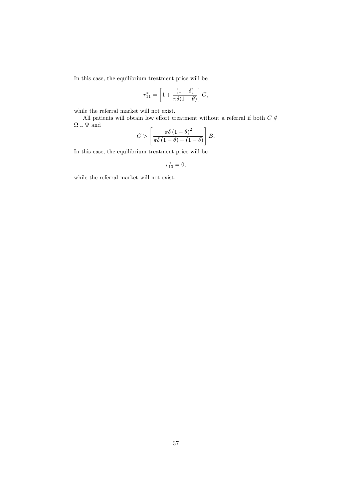In this case, the equilibrium treatment price will be

$$
r_{11}^* = \left[1 + \frac{(1-\delta)}{\pi \delta(1-\theta)}\right]C,
$$

while the referral market will not exist.

All patients will obtain low effort treatment without a referral if both  $C\notin$  $\Omega \cup \Psi$  and

$$
C > \left[ \frac{\pi \delta \left( 1 - \theta \right)^2}{\pi \delta \left( 1 - \theta \right) + \left( 1 - \delta \right)} \right] B.
$$

In this case, the equilibrium treatment price will be

$$
r_{10}^*=0,
$$

while the referral market will not exist.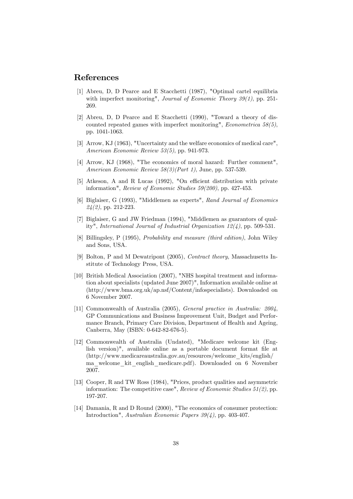## References

- [1] Abreu, D, D Pearce and E Stacchetti (1987), "Optimal cartel equilibria with imperfect monitoring", *Journal of Economic Theory 39(1)*, pp. 251-269.
- [2] Abreu, D, D Pearce and E Stacchetti (1990), "Toward a theory of discounted repeated games with imperfect monitoring", *Econometrica* 58(5), pp. 1041-1063.
- [3] Arrow, KJ (1963), "Uncertainty and the welfare economics of medical care", American Economic Review 53(5), pp. 941-973.
- [4] Arrow, KJ (1968), "The economics of moral hazard: Further comment", American Economic Review  $58(3)(Part 1)$ , June, pp. 537-539.
- [5] Atkeson, A and R Lucas (1992), "On efficient distribution with private information", Review of Economic Studies 59(200), pp. 427-453.
- [6] Biglaiser, G (1993), "Middlemen as experts", Rand Journal of Economics  $24(2)$ , pp. 212-223.
- [7] Biglaiser, G and JW Friedman (1994), "Middlemen as guarantors of quality", International Journal of Industrial Organization 12(4), pp. 509-531.
- [8] Billingsley, P (1995), Probability and measure (third edition), John Wiley and Sons, USA.
- [9] Bolton, P and M Dewatripont (2005), Contract theory, Massachusetts Institute of Technology Press, USA.
- [10] British Medical Association (2007), "NHS hospital treatment and information about specialists (updated June 2007)", Information available online at (http://www.bma.org.uk/ap.nsf/Content/infospecialists). Downloaded on 6 November 2007.
- [11] Commonwealth of Australia (2005), General practice in Australia: 2004, GP Communications and Business Improvement Unit, Budget and Performance Branch, Primary Care Division, Department of Health and Ageing, Canberra, May (ISBN: 0-642-82-676-5).
- [12] Commonwealth of Australia (Undated), "Medicare welcome kit (English version)", available online as a portable document format file at (http://www.medicareaustralia.gov.au/resources/welcome\_kits/english/ ma\_welcome\_kit\_english\_medicare.pdf). Downloaded on 6 November 2007.
- [13] Cooper, R and TW Ross (1984), "Prices, product qualities and asymmetric information: The competitive case", Review of Economic Studies 51(2), pp. 197-207.
- [14] Damania, R and D Round (2000), "The economics of consumer protection: Introduction", Australian Economic Papers 39(4), pp. 403-407.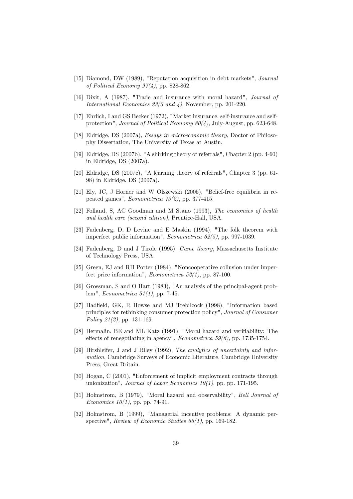- [15] Diamond, DW (1989), "Reputation acquisition in debt markets", Journal of Political Economy  $97(4)$ , pp. 828-862.
- [16] Dixit, A (1987), "Trade and insurance with moral hazard", Journal of International Economics 23(3 and 4), November, pp. 201-220.
- [17] Ehrlich, I and GS Becker (1972), "Market insurance, self-insurance and selfprotection", Journal of Political Economy 80(4), July-August, pp. 623-648.
- [18] Eldridge, DS (2007a), Essays in microeconomic theory, Doctor of Philosophy Dissertation, The University of Texas at Austin.
- [19] Eldridge, DS (2007b), "A shirking theory of referrals", Chapter 2 (pp. 4-60) in Eldridge, DS (2007a).
- [20] Eldridge, DS (2007c), "A learning theory of referrals", Chapter 3 (pp. 61- 98) in Eldridge, DS (2007a).
- [21] Ely, JC, J Horner and W Olszewski (2005), "Belief-free equilibria in repeated games", Econometrica 73(2), pp. 377-415.
- [22] Folland, S, AC Goodman and M Stano (1993), The economics of health and health care (second edition), Prentice-Hall, USA.
- [23] Fudenberg, D, D Levine and E Maskin (1994), "The folk theorem with imperfect public information", Econometrica 62(5), pp. 997-1039.
- [24] Fudenberg, D and J Tirole (1995), Game theory, Massachusetts Institute of Technology Press, USA.
- [25] Green, EJ and RH Porter (1984), "Noncooperative collusion under imperfect price information", *Econometrica*  $52(1)$ , pp. 87-100.
- [26] Grossman, S and O Hart (1983), "An analysis of the principal-agent problem", Econometrica 51(1), pp. 7-45.
- [27] Hadfield, GK, R Howse and MJ Trebilcock (1998), "Information based principles for rethinking consumer protection policy", Journal of Consumer Policy 21(2), pp. 131-169.
- [28] Hermalin, BE and ML Katz (1991), "Moral hazard and verifiability: The effects of renegotiating in agency", *Econometrica* 59(6), pp. 1735-1754.
- [29] Hirshleifer, J and J Riley (1992), The analytics of uncertainty and information, Cambridge Surveys of Economic Literature, Cambridge University Press, Great Britain.
- [30] Hogan, C (2001), "Enforcement of implicit employment contracts through unionization", Journal of Labor Economics  $19(1)$ , pp. pp. 171-195.
- [31] Holmstrom, B (1979), "Moral hazard and observability", Bell Journal of *Economics*  $10(1)$ , pp. pp. 74-91.
- [32] Holmstrom, B (1999), "Managerial incentive problems: A dynamic perspective", Review of Economic Studies 66(1), pp. 169-182.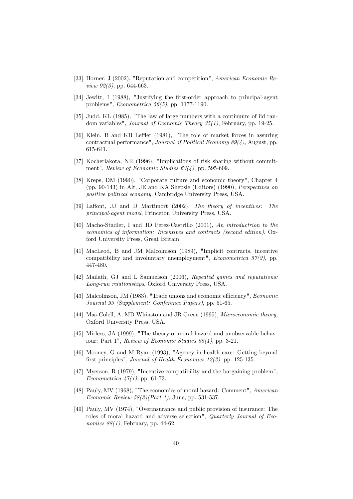- [33] Horner, J (2002), "Reputation and competition", American Economic Re*view 92(3)*, pp. 644-663.
- [34] Jewitt, I (1988), "Justifying the Örst-order approach to principal-agent problems", Econometrica 56(5), pp. 1177-1190.
- [35] Judd, KL (1985), "The law of large numbers with a continuum of iid random variables", Journal of Economic Theory 35(1), February, pp. 19-25.
- [36] Klein, B and KB Leffler (1981), "The role of market forces in assuring contractual performance", Journal of Political Economy 89(4), August, pp. 615-641.
- [37] Kocherlakota, NR (1996), "Implications of risk sharing without commitment", Review of Economic Studies  $63(4)$ , pp. 595-609.
- [38] Kreps, DM (1990), "Corporate culture and economic theory", Chapter 4 (pp. 90-143) in Alt, JE and KA Shepsle (Editors) (1990), Perspectives on positive political economy, Cambridge University Press, USA.
- [39] Laffont, JJ and D Martimort (2002), The theory of incentives: The principal-agent model, Princeton University Press, USA.
- [40] Macho-Stadler, I and JD Perez-Castrillo (2001), An introductrion to the economics of information: Incentives and contracts (second edition), Oxford University Press, Great Britain.
- [41] MacLeod, B and JM Malcolmson (1989), "Implicit contracts, incentive compatibility and involuntary unemployment", *Econometrica*  $57(2)$ , pp. 447-480.
- [42] Mailath, GJ and L Samuelson (2006), Repeated games and reputations: Long-run relationships, Oxford University Press, USA.
- [43] Malcolmson, JM (1983), "Trade unions and economic efficiency", *Economic* Journal 93 (Supplement: Conference Papers), pp. 51-65.
- [44] Mas-Colell, A, MD Whinston and JR Green (1995), Microeconomic theory, Oxford University Press, USA.
- [45] Mirlees, JA (1999), "The theory of moral hazard and unobservable behaviour: Part 1", Review of Economic Studies 66(1), pp. 3-21.
- [46] Mooney, G and M Ryan (1993), "Agency in health care: Getting beyond first principles", Journal of Health Economics 12(2), pp. 125-135.
- [47] Myerson, R (1979), "Incentive compatibility and the bargaining problem", Econometrica  $47(1)$ , pp. 61-73.
- [48] Pauly, MV (1968), "The economics of moral hazard: Comment", American Economic Review  $58(3)(Part\ 1)$ , June, pp. 531-537.
- [49] Pauly, MV (1974), "Overinsurance and public provision of insurance: The roles of moral hazard and adverse selection", Quarterly Journal of Economics 88(1), February, pp. 44-62.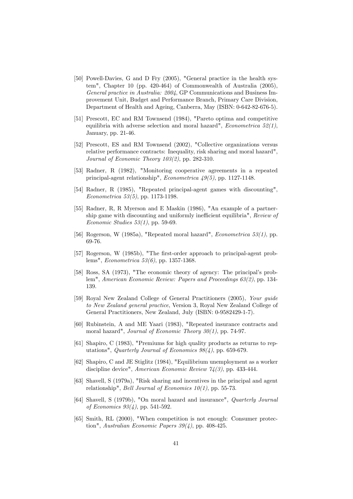- [50] Powell-Davies, G and D Fry (2005), "General practice in the health system", Chapter 10 (pp. 420-464) of Commonwealth of Australia (2005), General practice in Australia: 2004, GP Communications and Business Improvement Unit, Budget and Performance Branch, Primary Care Division, Department of Health and Ageing, Canberra, May (ISBN: 0-642-82-676-5).
- [51] Prescott, EC and RM Townsend (1984), "Pareto optima and competitive equilibria with adverse selection and moral hazard", *Econometrica*  $52(1)$ , January, pp. 21-46.
- [52] Prescott, ES and RM Townsend (2002), "Collective organizations versus relative performance contracts: Inequality, risk sharing and moral hazard", Journal of Economic Theory 103(2), pp. 282-310.
- [53] Radner, R (1982), "Monitoring cooperative agreements in a repeated principal-agent relationship", Econometrica 49(5), pp. 1127-1148.
- [54] Radner, R (1985), "Repeated principal-agent games with discounting", Econometrica 53(5), pp. 1173-1198.
- [55] Radner, R, R Myerson and E Maskin (1986), "An example of a partnership game with discounting and uniformly inefficient equilibria", Review of Economic Studies  $53(1)$ , pp. 59-69.
- [56] Rogerson, W (1985a), "Repeated moral hazard", *Econometrica* 53(1), pp. 69-76.
- [57] Rogerson, W (1985b), "The first-order approach to principal-agent problems", Econometrica 53(6), pp. 1357-1368.
- [58] Ross, SA (1973), "The economic theory of agency: The principal's problem", American Economic Review: Papers and Proceedings 63(2), pp. 134- 139.
- [59] Royal New Zealand College of General Practitioners (2005), Your guide to New Zealand general practice, Version 3, Royal New Zealand College of General Practitioners, New Zealand, July (ISBN: 0-9582429-1-7).
- [60] Rubinstein, A and ME Yaari (1983), "Repeated insurance contracts and moral hazard", Journal of Economic Theory  $30(1)$ , pp. 74-97.
- [61] Shapiro, C (1983), "Premiums for high quality products as returns to reputations", Quarterly Journal of Economics 98(4), pp. 659-679.
- [62] Shapiro, C and JE Stiglitz (1984), "Equilibrium unemployment as a worker discipline device", *American Economic Review 74(3)*, pp. 433-444.
- [63] Shavell, S (1979a), "Risk sharing and incentives in the principal and agent relationship", Bell Journal of Economics 10(1), pp. 55-73.
- [64] Shavell, S (1979b), "On moral hazard and insurance", Quarterly Journal of Economics 93(4), pp. 541-592.
- [65] Smith, RL (2000), "When competition is not enough: Consumer protection", Australian Economic Papers 39(4), pp. 408-425.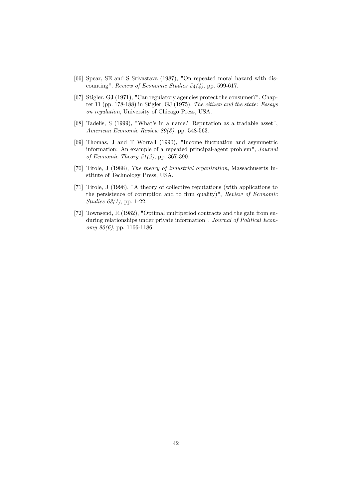- [66] Spear, SE and S Srivastava (1987), "On repeated moral hazard with discounting", Review of Economic Studies  $54(4)$ , pp. 599-617.
- [67] Stigler, GJ (1971), "Can regulatory agencies protect the consumer?", Chapter 11 (pp. 178-188) in Stigler, GJ (1975), The citizen and the state: Essays on regulation, University of Chicago Press, USA.
- [68] Tadelis, S (1999), "What's in a name? Reputation as a tradable asset", American Economic Review 89(3), pp. 548-563.
- [69] Thomas, J and T Worrall (1990), "Income áuctuation and asymmetric information: An example of a repeated principal-agent problem", Journal of Economic Theory 51(2), pp. 367-390.
- [70] Tirole, J (1988), The theory of industrial organization, Massachusetts Institute of Technology Press, USA.
- [71] Tirole, J (1996), "A theory of collective reputations (with applications to the persistence of corruption and to firm quality)",  $Review of Economic$ Studies 63(1), pp. 1-22.
- [72] Townsend, R (1982), "Optimal multiperiod contracts and the gain from enduring relationships under private information", Journal of Political Economy  $90(6)$ , pp. 1166-1186.